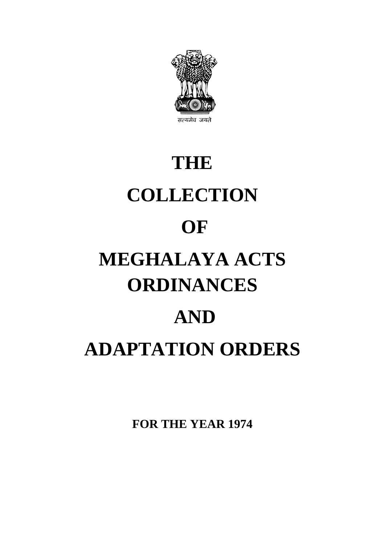

# **AND THE COLLECTION OF MEGHALAYA ACTS ORDINANCES ADAPTATION ORDERS**

**FOR THE YEAR 1974**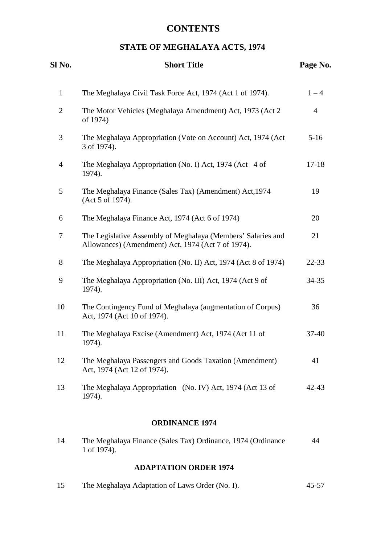# **CONTENTS**

# **STATE OF MEGHALAYA ACTS, 1974**

| Sl No.         | <b>Short Title</b>                                                                                                 | Page No.       |
|----------------|--------------------------------------------------------------------------------------------------------------------|----------------|
| $\mathbf{1}$   | The Meghalaya Civil Task Force Act, 1974 (Act 1 of 1974).                                                          | $1 - 4$        |
| $\overline{2}$ | The Motor Vehicles (Meghalaya Amendment) Act, 1973 (Act 2<br>of 1974)                                              | $\overline{4}$ |
| 3              | The Meghalaya Appropriation (Vote on Account) Act, 1974 (Act<br>3 of 1974).                                        | $5-16$         |
| 4              | The Meghalaya Appropriation (No. I) Act, 1974 (Act 4 of<br>1974).                                                  | $17 - 18$      |
| 5              | The Meghalaya Finance (Sales Tax) (Amendment) Act, 1974<br>(Act 5 of 1974).                                        | 19             |
| 6              | The Meghalaya Finance Act, 1974 (Act 6 of 1974)                                                                    | 20             |
| 7              | The Legislative Assembly of Meghalaya (Members' Salaries and<br>Allowances) (Amendment) Act, 1974 (Act 7 of 1974). | 21             |
| 8              | The Meghalaya Appropriation (No. II) Act, 1974 (Act 8 of 1974)                                                     | 22-33          |
| 9              | The Meghalaya Appropriation (No. III) Act, 1974 (Act 9 of<br>1974).                                                | 34-35          |
| 10             | The Contingency Fund of Meghalaya (augmentation of Corpus)<br>Act, 1974 (Act 10 of 1974).                          | 36             |
| 11             | The Meghalaya Excise (Amendment) Act, 1974 (Act 11 of<br>1974).                                                    | 37-40          |
| 12             | The Meghalaya Passengers and Goods Taxation (Amendment)<br>Act, 1974 (Act 12 of 1974).                             | 41             |
| 13             | The Meghalaya Appropriation (No. IV) Act, 1974 (Act 13 of<br>1974).                                                | $42 - 43$      |
|                | <b>ORDINANCE 1974</b>                                                                                              |                |
| 14             | The Meghalaya Finance (Sales Tax) Ordinance, 1974 (Ordinance                                                       | 44             |

# 1 of 1974).

# **ADAPTATION ORDER 1974**

| 15 | The Meghalaya Adaptation of Laws Order (No. I). | $45 - 57$ |
|----|-------------------------------------------------|-----------|
|----|-------------------------------------------------|-----------|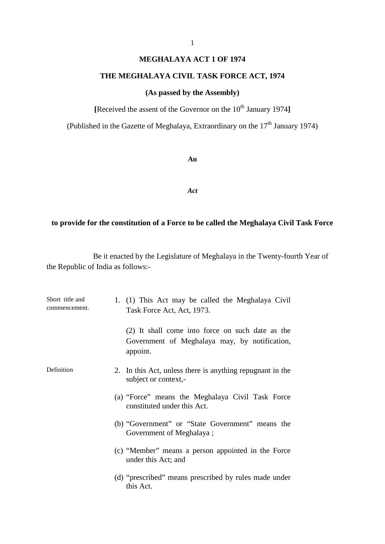# **MEGHALAYA ACT 1 OF 1974**

# **THE MEGHALAYA CIVIL TASK FORCE ACT, 1974**

# **(As passed by the Assembly)**

**[Received the assent of the Governor on the 10<sup>th</sup> January 1974]** 

(Published in the Gazette of Meghalaya, Extraordinary on the  $17<sup>th</sup>$  January 1974)

**An** 

*Act* 

# **to provide for the constitution of a Force to be called the Meghalaya Civil Task Force**

 the Republic of India as follows: Be it enacted by the Legislature of Meghalaya in the Twenty-fourth Year of

| Short title and<br>commencement. | 1. (1) This Act may be called the Meghalaya Civil<br>Task Force Act, Act, 1973.                               |  |
|----------------------------------|---------------------------------------------------------------------------------------------------------------|--|
|                                  | (2) It shall come into force on such date as the<br>Government of Meghalaya may, by notification,<br>appoint. |  |
| Definition                       | 2. In this Act, unless there is anything repugnant in the<br>subject or context,-                             |  |
|                                  | (a) "Force" means the Meghalaya Civil Task Force<br>constituted under this Act.                               |  |
|                                  | (b) "Government" or "State Government" means the<br>Government of Meghalaya;                                  |  |
|                                  | (c) "Member" means a person appointed in the Force<br>under this Act; and                                     |  |
|                                  | (d) "prescribed" means prescribed by rules made under<br>this Act.                                            |  |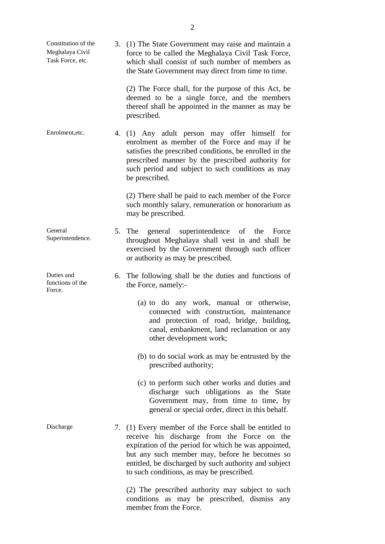<span id="page-3-0"></span>

| Constitution of the<br>Meghalaya Civil<br>Task Force, etc. | 3. (1) The State Government may raise and maintain a<br>force to be called the Meghalaya Civil Task Force,<br>which shall consist of such number of members as<br>the State Government may direct from time to time.                                                                                                |
|------------------------------------------------------------|---------------------------------------------------------------------------------------------------------------------------------------------------------------------------------------------------------------------------------------------------------------------------------------------------------------------|
|                                                            | (2) The Force shall, for the purpose of this Act, be<br>deemed to be a single force, and the members<br>thereof shall be appointed in the manner as may be<br>prescribed.                                                                                                                                           |
| Enrolment, etc.                                            | 4. (1) Any adult person may offer himself for<br>enrolment as member of the Force and may if he<br>satisfies the prescribed conditions, be enrolled in the<br>prescribed manner by the prescribed authority for<br>such period and subject to such conditions as may<br>be prescribed.                              |
|                                                            | (2) There shall be paid to each member of the Force<br>such monthly salary, remuneration or honorarium as<br>may be prescribed.                                                                                                                                                                                     |
| General<br>Superintendence.                                | 5. The general superintendence of the Force<br>throughout Meghalaya shall vest in and shall be<br>exercised by the Government through such officer<br>or authority as may be prescribed.                                                                                                                            |
| Duties and<br>functions of the<br>Force.                   | 6. The following shall be the duties and functions of<br>the Force, namely:-                                                                                                                                                                                                                                        |
|                                                            | (a) to do any work, manual or otherwise,<br>connected with construction, maintenance<br>and protection of road, bridge, building,<br>canal, embankment, land reclamation or any<br>other development work;                                                                                                          |
|                                                            | (b) to do social work as may be entrusted by the<br>prescribed authority;                                                                                                                                                                                                                                           |
|                                                            | (c) to perform such other works and duties and<br>discharge such obligations as the State<br>Government may, from time to time, by<br>general or special order, direct in this behalf.                                                                                                                              |
| Discharge                                                  | 7. (1) Every member of the Force shall be entitled to<br>receive his discharge from the Force on the<br>expiration of the period for which he was appointed,<br>but any such member may, before he becomes so<br>entitled, be discharged by such authority and subject<br>to such conditions, as may be prescribed. |
|                                                            | (2) The prescribed authority may subject to such<br>conditions as may be prescribed, dismiss any<br>member from the Force.                                                                                                                                                                                          |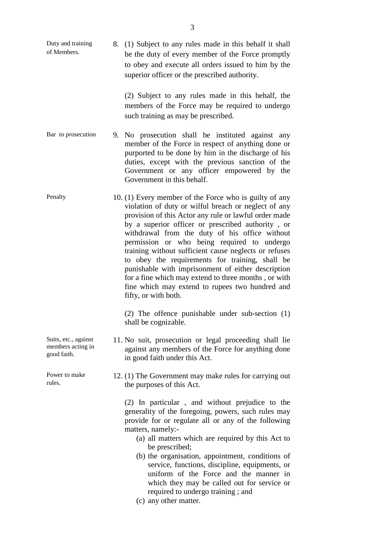of Members. be the duty of every member of the Force promptly to obey and execute all orders issued to him by the Duty and training 8. (1) Subject to any rules made in this behalf it shall superior officer or the prescribed authority.

> members of the Force may be required to undergo (2) Subject to any rules made in this behalf, the such training as may be prescribed.

- Bar to prosecution 9. No prosecution shall be instituted against any Government or any officer empowered by the member of the Force in respect of anything done or purported to be done by him in the discharge of his duties, except with the previous sanction of the Government in this behalf.
- by a superior officer or prescribed authority , or fifty, or with both. Penalty 10. (1) Every member of the Force who is guilty of any violation of duty or wilful breach or neglect of any provision of this Actor any rule or lawful order made withdrawal from the duty of his office without permission or who being required to undergo training without sufficient cause neglects or refuses to obey the requirements for training, shall be punishable with imprisonment of either description for a fine which may extend to three months , or with fine which may extend to rupees two hundred and

(2) The offence punishable under sub-section (1) shall be cognizable.

- Suits, etc., against 11. No suit, prosecution or legal proceeding shall lie members acting in against any members of the Force for anything done members acting in against any members of the Force for anything done good faith. in good faith under this Act.
- Power to make 12. (1) The Government may make rules for carrying out rules. the purposes of this Act.

 generality of the foregoing, powers, such rules may (2) In particular , and without prejudice to the provide for or regulate all or any of the following matters, namely:

- (a) all matters which are required by this Act to be prescribed;
- (b) the organisation, appointment, conditions of service, functions, discipline, equipments, or uniform of the Force and the manner in which they may be called out for service or required to undergo training ; and
- (c) any other matter.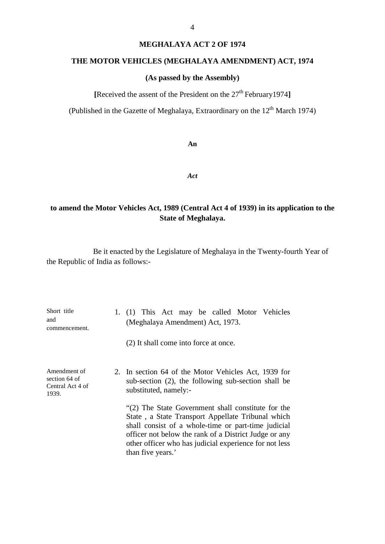### **MEGHALAYA ACT 2 OF 1974**

# **THE MOTOR VEHICLES (MEGHALAYA AMENDMENT) ACT, 1974**

# **(As passed by the Assembly)**

**[**Received the assent of the President on the 27th February1974**]** 

(Published in the Gazette of Meghalaya, Extraordinary on the  $12<sup>th</sup>$  March 1974)

**An** 

*Act* 

# **to amend the Motor Vehicles Act, 1989 (Central Act 4 of 1939) in its application to the State of Meghalaya.**

 the Republic of India as follows: Be it enacted by the Legislature of Meghalaya in the Twenty-fourth Year of

| Short title<br>and<br>commencement.                        | 1. (1) This Act may be called Motor Vehicles<br>(Meghalaya Amendment) Act, 1973.<br>(2) It shall come into force at once.                                                                                                                                                                              |  |
|------------------------------------------------------------|--------------------------------------------------------------------------------------------------------------------------------------------------------------------------------------------------------------------------------------------------------------------------------------------------------|--|
| Amendment of<br>section 64 of<br>Central Act 4 of<br>1939. | 2. In section 64 of the Motor Vehicles Act, 1939 for<br>sub-section (2), the following sub-section shall be<br>substituted, namely:-                                                                                                                                                                   |  |
|                                                            | "(2) The State Government shall constitute for the<br>State, a State Transport Appellate Tribunal which<br>shall consist of a whole-time or part-time judicial<br>officer not below the rank of a District Judge or any<br>other officer who has judicial experience for not less<br>than five years.' |  |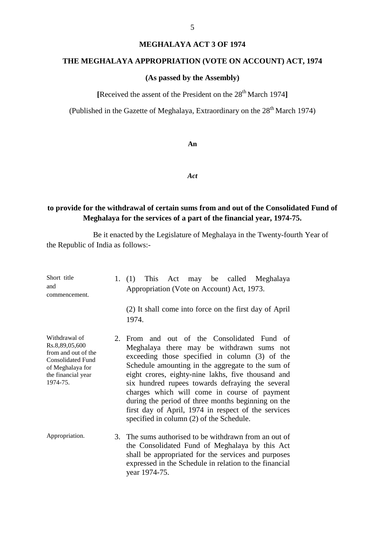### **MEGHALAYA ACT 3 OF 1974**

# **THE MEGHALAYA APPROPRIATION (VOTE ON ACCOUNT) ACT, 1974**

# **(As passed by the Assembly)**

**[**Received the assent of the President on the 28th March 1974**]** 

(Published in the Gazette of Meghalaya, Extraordinary on the  $28<sup>th</sup>$  March 1974)

### **An**

### *Act*

# **to provide for the withdrawal of certain sums from and out of the Consolidated Fund of Meghalaya for the services of a part of the financial year, 1974-75.**

 the Republic of India as follows: Be it enacted by the Legislature of Meghalaya in the Twenty-fourth Year of

| Short title<br>and<br>commencement.                                                                                                      | 1. (1) This Act may be called Meghalaya<br>Appropriation (Vote on Account) Act, 1973.                                                                                                                                                                                                                                                                                                                                                                                                                              |
|------------------------------------------------------------------------------------------------------------------------------------------|--------------------------------------------------------------------------------------------------------------------------------------------------------------------------------------------------------------------------------------------------------------------------------------------------------------------------------------------------------------------------------------------------------------------------------------------------------------------------------------------------------------------|
|                                                                                                                                          | (2) It shall come into force on the first day of April<br>1974.                                                                                                                                                                                                                                                                                                                                                                                                                                                    |
| Withdrawal of<br>Rs.8,89,05,600<br>from and out of the<br><b>Consolidated Fund</b><br>of Meghalaya for<br>the financial year<br>1974-75. | 2. From and out of the Consolidated Fund of<br>Meghalaya there may be withdrawn sums not<br>exceeding those specified in column (3) of the<br>Schedule amounting in the aggregate to the sum of<br>eight crores, eighty-nine lakhs, five thousand and<br>six hundred rupees towards defraying the several<br>charges which will come in course of payment<br>during the period of three months beginning on the<br>first day of April, 1974 in respect of the services<br>specified in column (2) of the Schedule. |
| Appropriation.                                                                                                                           | 3. The sums authorised to be withdrawn from an out of<br>the Consolidated Fund of Meghalaya by this Act<br>shall be appropriated for the services and purposes<br>expressed in the Schedule in relation to the financial<br>year 1974-75.                                                                                                                                                                                                                                                                          |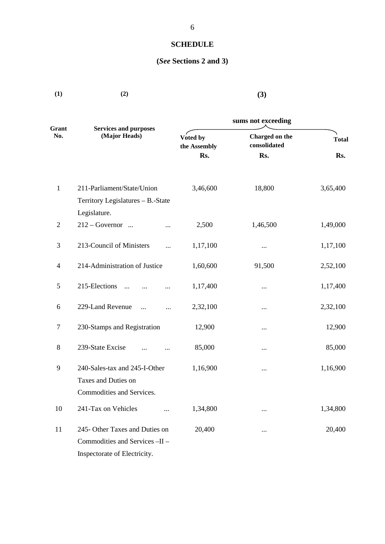# **SCHEDULE**

# **(***See* **Sections 2 and 3)**

| Grant          | <b>Services and purposes</b>      | sums not exceeding       |                                |              |  |
|----------------|-----------------------------------|--------------------------|--------------------------------|--------------|--|
| No.            | (Major Heads)                     | Voted by<br>the Assembly | Charged on the<br>consolidated | <b>Total</b> |  |
|                |                                   | Rs.                      | Rs.                            | Rs.          |  |
| $\mathbf{1}$   | 211-Parliament/State/Union        | 3,46,600                 | 18,800                         | 3,65,400     |  |
|                | Territory Legislatures - B.-State |                          |                                |              |  |
|                | Legislature.                      |                          |                                |              |  |
| $\overline{2}$ | $212 - Government$<br>            | 2,500                    | 1,46,500                       | 1,49,000     |  |
| 3              | 213-Council of Ministers          | 1,17,100                 | $\cdots$                       | 1,17,100     |  |
| $\overline{4}$ | 214-Administration of Justice     | 1,60,600                 | 91,500                         | 2,52,100     |  |
| 5              | 215-Elections                     | 1,17,400                 |                                | 1,17,400     |  |
| 6              | 229-Land Revenue<br><br>          | 2,32,100                 | $\cdots$                       | 2,32,100     |  |
| $\tau$         | 230-Stamps and Registration       | 12,900                   | $\cdots$                       | 12,900       |  |
| 8              | 239-State Excise                  | 85,000                   | $\cdots$                       | 85,000       |  |
| 9              | 240-Sales-tax and 245-I-Other     | 1,16,900                 | $\cdots$                       | 1,16,900     |  |
|                | Taxes and Duties on               |                          |                                |              |  |
|                | Commodities and Services.         |                          |                                |              |  |
| 10             | 241-Tax on Vehicles               | 1,34,800                 | $\cdots$                       | 1,34,800     |  |
| 11             | 245- Other Taxes and Duties on    | 20,400                   |                                | 20,400       |  |
|                | Commodities and Services -II -    |                          |                                |              |  |
|                | Inspectorate of Electricity.      |                          |                                |              |  |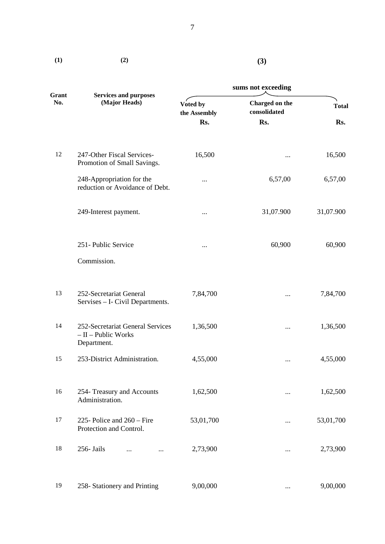| (1)          | (2)                                                                     | (3)                      |                                |              |
|--------------|-------------------------------------------------------------------------|--------------------------|--------------------------------|--------------|
|              |                                                                         | sums not exceeding       |                                |              |
| Grant<br>No. | <b>Services and purposes</b><br>(Major Heads)                           | Voted by<br>the Assembly | Charged on the<br>consolidated | <b>Total</b> |
|              |                                                                         | Rs.                      | Rs.                            | Rs.          |
| 12           | 247-Other Fiscal Services-<br>Promotion of Small Savings.               | 16,500                   | $\cdots$                       | 16,500       |
|              | 248-Appropriation for the<br>reduction or Avoidance of Debt.            | $\cdots$                 | 6,57,00                        | 6,57,00      |
|              | 249-Interest payment.                                                   |                          | 31,07.900                      | 31,07.900    |
|              | 251- Public Service                                                     | $\cdots$                 | 60,900                         | 60,900       |
|              | Commission.                                                             |                          |                                |              |
| 13           | 252-Secretariat General<br>Servises - I- Civil Departments.             | 7,84,700                 | $\cdots$                       | 7,84,700     |
| 14           | 252-Secretariat General Services<br>$-II$ – Public Works<br>Department. | 1,36,500                 | $\cdots$                       | 1,36,500     |
| 15           | 253-District Administration.                                            | 4,55,000                 | $\cdots$                       | 4,55,000     |
| 16           | 254- Treasury and Accounts<br>Administration.                           | 1,62,500                 | $\cdots$                       | 1,62,500     |
| 17           | 225- Police and $260$ – Fire<br>Protection and Control.                 | 53,01,700                | $\cdots$                       | 53,01,700    |
| 18           | 256- Jails<br>$\cdots$<br>$\cdots$                                      | 2,73,900                 | $\cdots$                       | 2,73,900     |
| 19           | 258- Stationery and Printing                                            | 9,00,000                 | $\cdots$                       | 9,00,000     |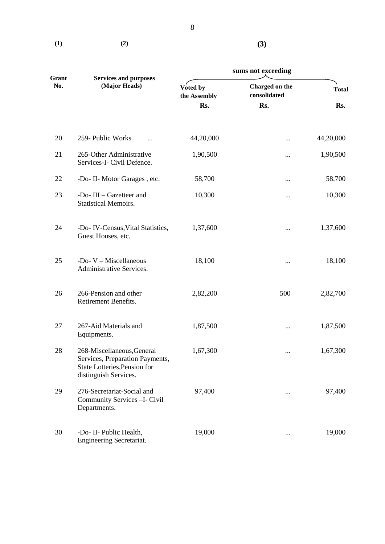$(1)$   $(2)$ 

**(3)**

| Grant<br>No. | <b>Services and purposes</b>                                                                                           | sums not exceeding       |                                |              |
|--------------|------------------------------------------------------------------------------------------------------------------------|--------------------------|--------------------------------|--------------|
|              | (Major Heads)                                                                                                          | Voted by<br>the Assembly | Charged on the<br>consolidated | <b>Total</b> |
|              |                                                                                                                        | Rs.                      | Rs.                            | Rs.          |
| 20           | 259- Public Works                                                                                                      | 44,20,000                | $\cdots$                       | 44,20,000    |
| 21           | 265-Other Administrative<br>Services-I- Civil Defence.                                                                 | 1,90,500                 |                                | 1,90,500     |
| 22           | -Do- II- Motor Garages, etc.                                                                                           | 58,700                   | $\cdots$                       | 58,700       |
| 23           | -Do-III - Gazetteer and<br><b>Statistical Memoirs.</b>                                                                 | 10,300                   |                                | 10,300       |
| 24           | -Do- IV-Census, Vital Statistics,<br>Guest Houses, etc.                                                                | 1,37,600                 |                                | 1,37,600     |
| 25           | -Do-V - Miscellaneous<br>Administrative Services.                                                                      | 18,100                   | $\cdots$                       | 18,100       |
| 26           | 266-Pension and other<br>Retirement Benefits.                                                                          | 2,82,200                 | 500                            | 2,82,700     |
| 27           | 267-Aid Materials and<br>Equipments.                                                                                   | 1,87,500                 | $\cdots$                       | 1,87,500     |
| 28           | 268-Miscellaneous, General<br>Services, Preparation Payments,<br>State Lotteries, Pension for<br>distinguish Services. | 1,67,300                 | $\cdots$                       | 1,67,300     |
| 29           | 276-Secretariat-Social and<br>Community Services - I- Civil<br>Departments.                                            | 97,400                   | $\cdots$                       | 97,400       |
| 30           | -Do- II- Public Health,<br><b>Engineering Secretariat.</b>                                                             | 19,000                   | $\cdots$                       | 19,000       |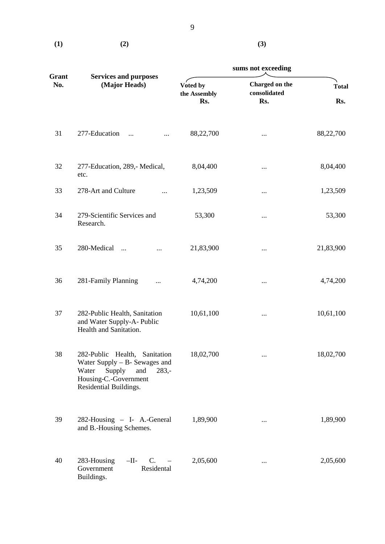$(1)$   $(2)$   $(3)$ 

|              |                                                                                                                                                          | sums not exceeding              |                                       |                     |  |
|--------------|----------------------------------------------------------------------------------------------------------------------------------------------------------|---------------------------------|---------------------------------------|---------------------|--|
| Grant<br>No. | <b>Services and purposes</b><br>(Major Heads)                                                                                                            | Voted by<br>the Assembly<br>Rs. | Charged on the<br>consolidated<br>Rs. | <b>Total</b><br>Rs. |  |
| 31           | 277-Education<br>$\cdots$                                                                                                                                | 88,22,700                       |                                       | 88,22,700           |  |
| 32           | 277-Education, 289,- Medical,<br>etc.                                                                                                                    | 8,04,400                        | $\cdots$                              | 8,04,400            |  |
| 33           | 278-Art and Culture                                                                                                                                      | 1,23,509                        | $\cdots$                              | 1,23,509            |  |
| 34           | 279-Scientific Services and<br>Research.                                                                                                                 | 53,300                          | $\cdots$                              | 53,300              |  |
| 35           | 280-Medical<br>$\cdots$                                                                                                                                  | 21,83,900                       | $\cdots$                              | 21,83,900           |  |
| 36           | 281-Family Planning<br>                                                                                                                                  | 4,74,200                        | $\cdots$                              | 4,74,200            |  |
| 37           | 282-Public Health, Sanitation<br>and Water Supply-A-Public<br>Health and Sanitation.                                                                     | 10,61,100                       |                                       | 10,61,100           |  |
| 38           | 282-Public Health, Sanitation<br>Water Supply $-$ B- Sewages and<br>Supply<br>Water<br>and<br>$283,-$<br>Housing-C.-Government<br>Residential Buildings. | 18,02,700                       | $\cdots$                              | 18,02,700           |  |
| 39           | 282-Housing - I- A.-General<br>and B.-Housing Schemes.                                                                                                   | 1,89,900                        | $\cdots$                              | 1,89,900            |  |
| 40           | 283-Housing<br>$-I$ I-<br>$C_{\cdot}$<br>Residental<br>Government<br>Buildings.                                                                          | 2,05,600                        | $\cdots$                              | 2,05,600            |  |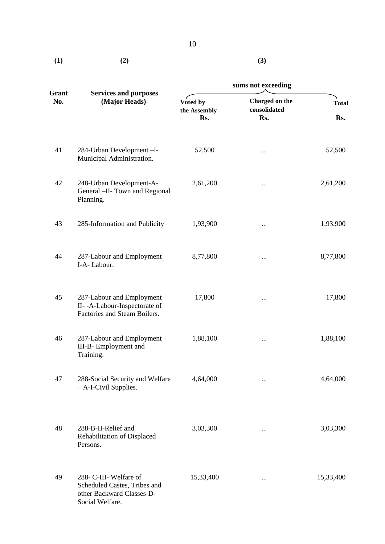|     |     | 1V |
|-----|-----|----|
| (1) | (2) |    |
|     |     |    |

|              |                                                                                                        | sums not exceeding              |                                       |                     |  |
|--------------|--------------------------------------------------------------------------------------------------------|---------------------------------|---------------------------------------|---------------------|--|
| Grant<br>No. | <b>Services and purposes</b><br>(Major Heads)                                                          | Voted by<br>the Assembly<br>Rs. | Charged on the<br>consolidated<br>Rs. | <b>Total</b><br>Rs. |  |
| 41           | 284-Urban Development-I-<br>Municipal Administration.                                                  | 52,500                          | $\cdots$                              | 52,500              |  |
| 42           | 248-Urban Development-A-<br>General - II- Town and Regional<br>Planning.                               | 2,61,200                        | $\cdots$                              | 2,61,200            |  |
| 43           | 285-Information and Publicity                                                                          | 1,93,900                        | $\cdots$                              | 1,93,900            |  |
| 44           | 287-Labour and Employment -<br>I-A-Labour.                                                             | 8,77,800                        | $\cdots$                              | 8,77,800            |  |
| 45           | 287-Labour and Employment -<br>II--A-Labour-Inspectorate of<br>Factories and Steam Boilers.            | 17,800                          | $\cdots$                              | 17,800              |  |
| 46           | 287-Labour and Employment -<br>III-B- Employment and<br>Training.                                      | 1,88,100                        | $\cdots$                              | 1,88,100            |  |
| 47           | 288-Social Security and Welfare<br>- A-I-Civil Supplies.                                               | 4,64,000                        | $\cdots$                              | 4,64,000            |  |
| 48           | 288-B-II-Relief and<br>Rehabilitation of Displaced<br>Persons.                                         | 3,03,300                        | $\cdots$                              | 3,03,300            |  |
| 49           | 288- C-III- Welfare of<br>Scheduled Castes, Tribes and<br>other Backward Classes-D-<br>Social Welfare. | 15,33,400                       | $\cdots$                              | 15,33,400           |  |

**(3)**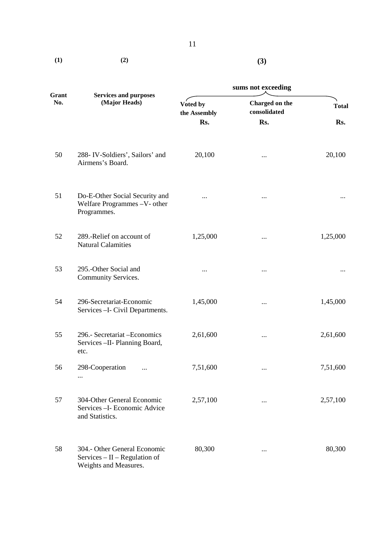$(1)$   $(2)$ 

| ٦<br>٠            |  |
|-------------------|--|
| v<br>×<br>۰,<br>× |  |

|              |                                                                                           |                          | sums not exceeding                                                                                                                                                        |              |  |
|--------------|-------------------------------------------------------------------------------------------|--------------------------|---------------------------------------------------------------------------------------------------------------------------------------------------------------------------|--------------|--|
| Grant<br>No. | <b>Services and purposes</b><br>(Major Heads)                                             | Voted by<br>the Assembly | Charged on the<br>consolidated                                                                                                                                            | <b>Total</b> |  |
|              |                                                                                           | Rs.                      | Rs.<br>20,100<br>$\cdots$<br><br>$\cdots$<br>1,25,000<br>$\cdots$<br><br>$\cdots$<br>1,45,000<br>$\cdots$<br>2,61,600<br><br>7,51,600<br>$\cdots$<br>2,57,100<br>$\cdots$ | Rs.          |  |
| 50           | 288-IV-Soldiers', Sailors' and<br>Airmens's Board.                                        |                          |                                                                                                                                                                           | 20,100       |  |
| 51           | Do-E-Other Social Security and<br>Welfare Programmes -V- other<br>Programmes.             |                          |                                                                                                                                                                           |              |  |
| 52           | 289.-Relief on account of<br><b>Natural Calamities</b>                                    |                          |                                                                                                                                                                           | 1,25,000     |  |
| 53           | 295.-Other Social and<br>Community Services.                                              |                          |                                                                                                                                                                           |              |  |
| 54           | 296-Secretariat-Economic<br>Services - I- Civil Departments.                              |                          |                                                                                                                                                                           | 1,45,000     |  |
| 55           | 296.- Secretariat - Economics<br>Services - II- Planning Board,<br>etc.                   |                          |                                                                                                                                                                           | 2,61,600     |  |
| 56           | 298-Cooperation<br>$\cdots$<br>$\cdots$                                                   |                          |                                                                                                                                                                           | 7,51,600     |  |
| 57           | 304-Other General Economic<br>Services - I- Economic Advice<br>and Statistics.            |                          |                                                                                                                                                                           | 2,57,100     |  |
| 58           | 304.- Other General Economic<br>$S$ ervices – II – Regulation of<br>Weights and Measures. | 80,300                   |                                                                                                                                                                           | 80,300       |  |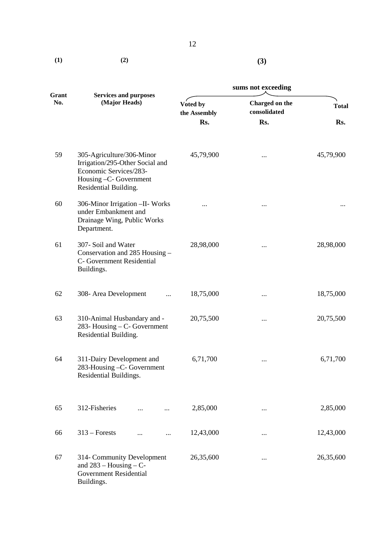| (1) | (2) | (3) |
|-----|-----|-----|

|              | sums not exceeding                                                                                                                        |                          |                                |              |
|--------------|-------------------------------------------------------------------------------------------------------------------------------------------|--------------------------|--------------------------------|--------------|
| Grant<br>No. | <b>Services and purposes</b><br>(Major Heads)                                                                                             | Voted by<br>the Assembly | Charged on the<br>consolidated | <b>Total</b> |
|              |                                                                                                                                           | Rs.                      | Rs.                            | Rs.          |
| 59           | 305-Agriculture/306-Minor<br>Irrigation/295-Other Social and<br>Economic Services/283-<br>Housing -C- Government<br>Residential Building. | 45,79,900                |                                | 45,79,900    |
| 60           | 306-Minor Irrigation - II- Works<br>under Embankment and<br>Drainage Wing, Public Works<br>Department.                                    |                          | $\cdots$                       |              |
| 61           | 307- Soil and Water<br>Conservation and 285 Housing -<br>C- Government Residential<br>Buildings.                                          | 28,98,000                | $\cdots$                       | 28,98,000    |
| 62           | 308- Area Development                                                                                                                     | 18,75,000                | $\cdots$                       | 18,75,000    |
| 63           | 310-Animal Husbandary and -<br>283- Housing – C- Government<br>Residential Building.                                                      | 20,75,500                |                                | 20,75,500    |
| 64           | 311-Dairy Development and<br>283-Housing -C- Government<br>Residential Buildings.                                                         | 6,71,700                 | $\cdots$                       | 6,71,700     |
| 65           | 312-Fisheries                                                                                                                             | 2,85,000                 |                                | 2,85,000     |
| 66           | $313$ – Forests<br>                                                                                                                       | 12,43,000                | $\cdots$                       | 12,43,000    |
| 67           | 314- Community Development<br>and $283 -$ Housing $-$ C-<br><b>Government Residential</b><br>Buildings.                                   | 26,35,600                |                                | 26,35,600    |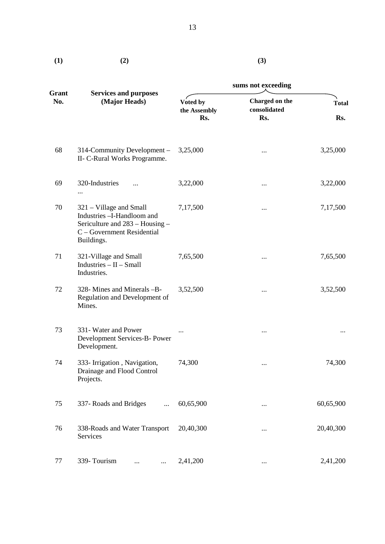|  | ٦<br>۰.<br>× |
|--|--------------|
|  |              |

| (1)          | (2)                                                                                                                                  |                                 | (3)                                   |                     |
|--------------|--------------------------------------------------------------------------------------------------------------------------------------|---------------------------------|---------------------------------------|---------------------|
|              |                                                                                                                                      |                                 | sums not exceeding                    |                     |
| Grant<br>No. | <b>Services and purposes</b><br>(Major Heads)                                                                                        | Voted by<br>the Assembly<br>Rs. | Charged on the<br>consolidated<br>Rs. | <b>Total</b><br>Rs. |
| 68           | 314-Community Development -<br>II- C-Rural Works Programme.                                                                          | 3,25,000                        | $\cdots$                              | 3,25,000            |
| 69           | 320-Industries<br>$\cdots$                                                                                                           | 3,22,000                        | $\cdots$                              | 3,22,000            |
| 70           | 321 – Village and Small<br>Industries -I-Handloom and<br>Sericulture and 283 - Housing -<br>C - Government Residential<br>Buildings. | 7,17,500                        | $\cdots$                              | 7,17,500            |
| 71           | 321-Village and Small<br>$Industries - II - Small$<br>Industries.                                                                    | 7,65,500                        |                                       | 7,65,500            |
| 72           | 328- Mines and Minerals -B-<br>Regulation and Development of<br>Mines.                                                               | 3,52,500                        | $\cdots$                              | 3,52,500            |
| 73           | 331- Water and Power<br>Development Services-B- Power<br>Development.                                                                |                                 |                                       |                     |
| 74           | 333- Irrigation, Navigation,<br>Drainage and Flood Control<br>Projects.                                                              | 74,300                          | $\cdots$                              | 74,300              |
| 75           | 337- Roads and Bridges                                                                                                               | 60,65,900                       | $\cdots$                              | 60,65,900           |
| 76           | 338-Roads and Water Transport<br>Services                                                                                            | 20,40,300                       | $\cdots$                              | 20,40,300           |

77 339- Tourism ... ... 2,41,200 ... 2,41,200 ... 2,41,200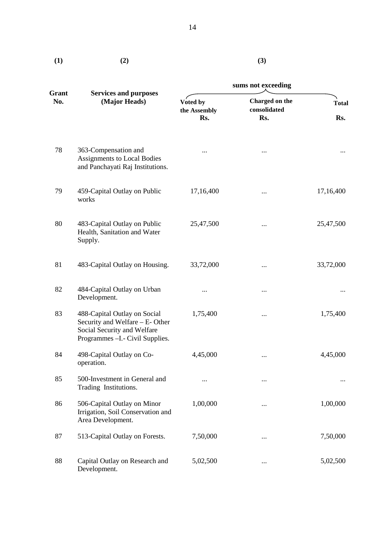| (1)          | (2)                                                                                                                                |                                 | (3)                                   |                     |
|--------------|------------------------------------------------------------------------------------------------------------------------------------|---------------------------------|---------------------------------------|---------------------|
|              |                                                                                                                                    | sums not exceeding              |                                       |                     |
| Grant<br>No. | <b>Services and purposes</b><br>(Major Heads)                                                                                      | Voted by<br>the Assembly<br>Rs. | Charged on the<br>consolidated<br>Rs. | <b>Total</b><br>Rs. |
| 78           | 363-Compensation and<br><b>Assignments to Local Bodies</b><br>and Panchayati Raj Institutions.                                     | $\cdots$                        |                                       | $\cdots$            |
| 79           | 459-Capital Outlay on Public<br>works                                                                                              | 17,16,400                       | $\cdots$                              | 17,16,400           |
| 80           | 483-Capital Outlay on Public<br>Health, Sanitation and Water<br>Supply.                                                            | 25,47,500                       |                                       | 25,47,500           |
| 81           | 483-Capital Outlay on Housing.                                                                                                     | 33,72,000                       | $\cdots$                              | 33,72,000           |
| 82           | 484-Capital Outlay on Urban<br>Development.                                                                                        |                                 | $\cdots$                              |                     |
| 83           | 488-Capital Outlay on Social<br>Security and Welfare - E- Other<br>Social Security and Welfare<br>Programmes - I.- Civil Supplies. | 1,75,400                        | $\cdots$                              | 1,75,400            |
| 84           | 498-Capital Outlay on Co-<br>operation.                                                                                            | 4,45,000                        |                                       | 4,45,000            |
| 85           | 500-Investment in General and<br>Trading Institutions.                                                                             |                                 | $\cdots$                              |                     |
| 86           | 506-Capital Outlay on Minor<br>Irrigation, Soil Conservation and<br>Area Development.                                              | 1,00,000                        | $\cdots$                              | 1,00,000            |
| 87           | 513-Capital Outlay on Forests.                                                                                                     | 7,50,000                        |                                       | 7,50,000            |
| 88           | Capital Outlay on Research and<br>Development.                                                                                     | 5,02,500                        | $\cdots$                              | 5,02,500            |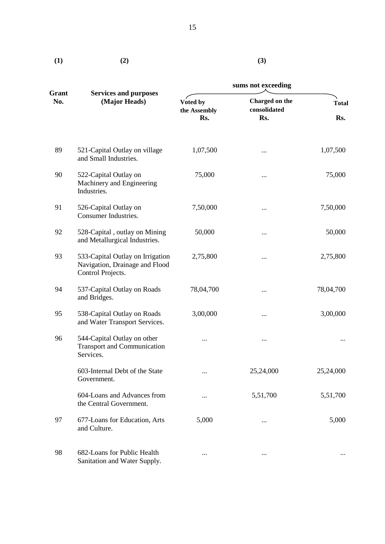| (1) | (2) |
|-----|-----|
|     |     |

**(3)** 

|              |                                                                                         | sums not exceeding              |                                       |                     |  |
|--------------|-----------------------------------------------------------------------------------------|---------------------------------|---------------------------------------|---------------------|--|
| Grant<br>No. | <b>Services and purposes</b><br>(Major Heads)                                           | Voted by<br>the Assembly<br>Rs. | Charged on the<br>consolidated<br>Rs. | <b>Total</b><br>Rs. |  |
| 89           | 521-Capital Outlay on village<br>and Small Industries.                                  | 1,07,500                        | $\cdots$                              | 1,07,500            |  |
| 90           | 522-Capital Outlay on<br>Machinery and Engineering<br>Industries.                       | 75,000                          | $\cdots$                              | 75,000              |  |
| 91           | 526-Capital Outlay on<br>Consumer Industries.                                           | 7,50,000                        | $\cdots$                              | 7,50,000            |  |
| 92           | 528-Capital, outlay on Mining<br>and Metallurgical Industries.                          | 50,000                          |                                       | 50,000              |  |
| 93           | 533-Capital Outlay on Irrigation<br>Navigation, Drainage and Flood<br>Control Projects. | 2,75,800                        |                                       | 2,75,800            |  |
| 94           | 537-Capital Outlay on Roads<br>and Bridges.                                             | 78,04,700                       | $\cdots$                              | 78,04,700           |  |
| 95           | 538-Capital Outlay on Roads<br>and Water Transport Services.                            | 3,00,000                        |                                       | 3,00,000            |  |
| 96           | 544-Capital Outlay on other<br><b>Transport and Communication</b><br>Services.          |                                 |                                       |                     |  |
|              | 603-Internal Debt of the State<br>Government.                                           |                                 | 25,24,000                             | 25,24,000           |  |
|              | 604-Loans and Advances from<br>the Central Government.                                  |                                 | 5,51,700                              | 5,51,700            |  |
| 97           | 677-Loans for Education, Arts<br>and Culture.                                           | 5,000                           |                                       | 5,000               |  |
| 98           | 682-Loans for Public Health<br>Sanitation and Water Supply.                             |                                 |                                       |                     |  |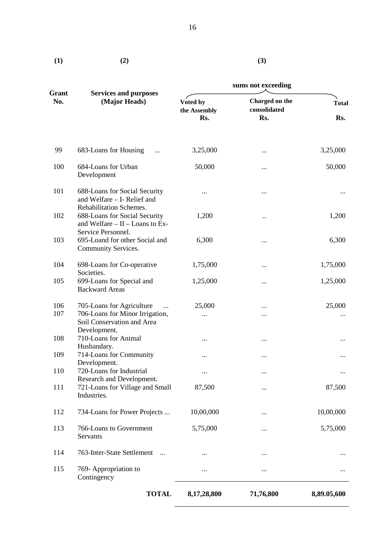$(2)$ 

**(3)** 

|                     |                                                                                             | sums not exceeding              |                                       |                     |  |
|---------------------|---------------------------------------------------------------------------------------------|---------------------------------|---------------------------------------|---------------------|--|
| <b>Grant</b><br>No. | <b>Services and purposes</b><br>(Major Heads)                                               | Voted by<br>the Assembly<br>Rs. | Charged on the<br>consolidated<br>Rs. | <b>Total</b><br>Rs. |  |
| 99                  | 683-Loans for Housing<br>$\cdots$                                                           | 3,25,000                        |                                       | 3,25,000            |  |
| 100                 | 684-Loans for Urban<br>Development                                                          | 50,000                          |                                       | 50,000              |  |
| 101                 | 688-Loans for Social Security<br>and Welfare - I- Relief and                                |                                 |                                       |                     |  |
| 102                 | Rehabilitation Schemes.<br>688-Loans for Social Security<br>and Welfare - II - Loans to Ex- | 1,200                           |                                       | 1,200               |  |
| 103                 | Service Personnel.<br>695-Loand for other Social and<br>Community Services.                 | 6,300                           |                                       | 6,300               |  |
| 104                 | 698-Loans for Co-operative<br>Societies.                                                    | 1,75,000                        | $\cdots$                              | 1,75,000            |  |
| 105                 | 699-Loans for Special and<br><b>Backward Areas</b>                                          | 1,25,000                        |                                       | 1,25,000            |  |
| 106<br>107          | 705-Loans for Agriculture<br>706-Loans for Minor Irrigation,                                | 25,000<br>$\cdots$              | <br>                                  | 25,000              |  |
|                     | Soil Conservation and Area<br>Development.                                                  |                                 |                                       |                     |  |
| 108                 | 710-Loans for Animal<br>Husbandary.                                                         | $\cdots$                        |                                       |                     |  |
| 109                 | 714-Loans for Community<br>Development.                                                     |                                 | $\cdots$                              | $\cdots$            |  |
| 110                 | 720-Loans for Industrial                                                                    | $\cdots$                        |                                       | $\cdots$            |  |
| 111                 | Research and Development.<br>721-Loans for Village and Small<br>Industries.                 | 87,500                          |                                       | 87,500              |  |
| 112                 | 734-Loans for Power Projects                                                                | 10,00,000                       | $\cdots$                              | 10,00,000           |  |
| 113                 | 766-Loans to Government<br>Servants                                                         | 5,75,000                        | $\cdots$                              | 5,75,000            |  |
| 114                 | 763-Inter-State Settlement                                                                  |                                 |                                       |                     |  |
| 115                 | 769- Appropriation to<br>Contingency                                                        |                                 |                                       |                     |  |
|                     | <b>TOTAL</b>                                                                                | 8,17,28,800                     | 71,76,800                             | 8,89.05,600         |  |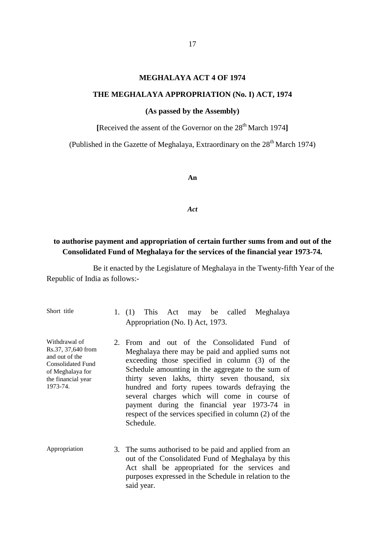### **MEGHALAYA ACT 4 OF 1974**

### <span id="page-18-0"></span>**THE MEGHALAYA APPROPRIATION (No. I) ACT, 1974**

### **(As passed by the Assembly)**

**[**Received the assent of the Governor on the 28th March 1974**]** 

(Published in the Gazette of Meghalaya, Extraordinary on the 28<sup>th</sup> March 1974)

**An** 

*Act* 

# **to authorise payment and appropriation of certain further sums from and out of the Consolidated Fund of Meghalaya for the services of the financial year 1973-74.**

| Short title                                                                                                                             | This Act may be called Meghalaya<br>1. $(1)$<br>Appropriation (No. I) Act, 1973.                                                                                                                                                                                                                                                                                                                                                                                                  |
|-----------------------------------------------------------------------------------------------------------------------------------------|-----------------------------------------------------------------------------------------------------------------------------------------------------------------------------------------------------------------------------------------------------------------------------------------------------------------------------------------------------------------------------------------------------------------------------------------------------------------------------------|
| Withdrawal of<br>Rs.37, 37,640 from<br>and out of the<br><b>Consolidated Fund</b><br>of Meghalaya for<br>the financial year<br>1973-74. | 2. From and out of the Consolidated Fund of<br>Meghalaya there may be paid and applied sums not<br>exceeding those specified in column (3) of the<br>Schedule amounting in the aggregate to the sum of<br>thirty seven lakhs, thirty seven thousand, six<br>hundred and forty rupees towards defraying the<br>several charges which will come in course of<br>payment during the financial year 1973-74 in<br>respect of the services specified in column (2) of the<br>Schedule. |
| Appropriation                                                                                                                           | 3. The sums authorised to be paid and applied from an<br>out of the Consolidated Fund of Meghalaya by this<br>Act shall be appropriated for the services and<br>purposes expressed in the Schedule in relation to the<br>said year.                                                                                                                                                                                                                                               |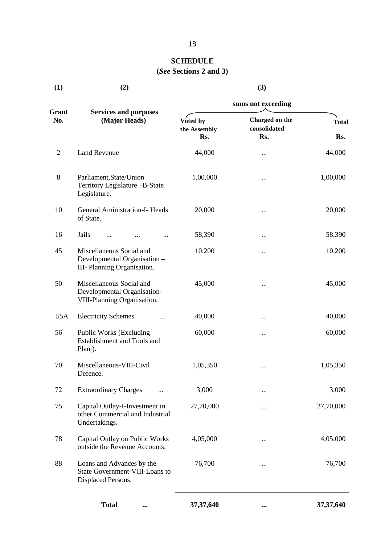# **SCHEDULE (***See* **Sections 2 and 3)**

**(3)** 

<span id="page-19-0"></span> $(1)$   $(2)$ 

|                |                                                                                         | sums not exceeding       |                                |              |  |
|----------------|-----------------------------------------------------------------------------------------|--------------------------|--------------------------------|--------------|--|
| Grant<br>No.   | <b>Services and purposes</b><br>(Major Heads)                                           | Voted by<br>the Assembly | Charged on the<br>consolidated | <b>Total</b> |  |
|                |                                                                                         | Rs.                      | Rs.                            | Rs.          |  |
| $\overline{2}$ | <b>Land Revenue</b>                                                                     | 44,000                   |                                | 44,000       |  |
| 8              | Parliament, State/Union<br>Territory Legislature -B-State<br>Legislature.               | 1,00,000                 | $\cdots$                       | 1,00,000     |  |
| 10             | <b>General Aministration-I- Heads</b><br>of State.                                      | 20,000                   |                                | 20,000       |  |
| 16             | Jails                                                                                   | 58,390                   | $\cdots$                       | 58,390       |  |
| 45             | Miscellaneous Social and<br>Developmental Organisation -<br>III- Planning Organisation. | 10,200                   | $\cdots$                       | 10,200       |  |
| 50             | Miscellaneous Social and<br>Developmental Organisation-<br>VIII-Planning Organisation.  | 45,000                   |                                | 45,000       |  |
| 55A            | <b>Electricity Schemes</b>                                                              | 40,000                   | $\cdots$                       | 40,000       |  |
| 56             | Public Works (Excluding<br>Establishment and Tools and<br>Plant).                       | 60,000                   | $\cdots$                       | 60,000       |  |
| 70             | Miscellaneous-VIII-Civil<br>Defence.                                                    | 1,05,350                 |                                | 1,05,350     |  |
| 72             | <b>Extraordinary Charges</b>                                                            | 3,000                    | $\cdots$                       | 3,000        |  |
| 75             | Capital Outlay-I-Investment in<br>other Commercial and Industrial<br>Undertakings.      | 27,70,000                |                                | 27,70,000    |  |
| 78             | Capital Outlay on Public Works<br>outside the Revenue Accounts.                         | 4,05,000                 | $\cdots$                       | 4,05,000     |  |
| 88             | Loans and Advances by the<br>State Government-VIII-Loans to<br>Displaced Persons.       | 76,700                   | $\cdots$                       | 76,700       |  |
|                | <b>Total</b><br>$\cdots$                                                                | 37, 37, 640              | $\cdots$                       | 37, 37, 640  |  |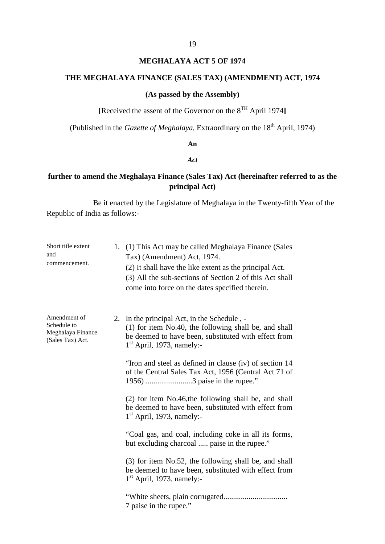# **MEGHALAYA ACT 5 OF 1974**

### <span id="page-20-0"></span>**THE MEGHALAYA FINANCE (SALES TAX) (AMENDMENT) ACT, 1974**

### **(As passed by the Assembly)**

**[**Received the assent of the Governor on the 8TH April 1974**]**

(Published in the *Gazette of Meghalaya*, Extraordinary on the 18<sup>th</sup> April, 1974)

# **An**

# *Act*

# **further to amend the Meghalaya Finance (Sales Tax) Act (hereinafter referred to as the principal Act)**

| Short title extent<br>and<br>commencement.                           | 1. | (1) This Act may be called Meghalaya Finance (Sales<br>Tax) (Amendment) Act, 1974.<br>(2) It shall have the like extent as the principal Act.<br>(3) All the sub-sections of Section 2 of this Act shall<br>come into force on the dates specified therein. |
|----------------------------------------------------------------------|----|-------------------------------------------------------------------------------------------------------------------------------------------------------------------------------------------------------------------------------------------------------------|
| Amendment of<br>Schedule to<br>Meghalaya Finance<br>(Sales Tax) Act. |    | 2. In the principal Act, in the Schedule, -<br>(1) for item No.40, the following shall be, and shall<br>be deemed to have been, substituted with effect from<br>$1st$ April, 1973, namely:-                                                                 |
|                                                                      |    | "Iron and steel as defined in clause (iv) of section 14<br>of the Central Sales Tax Act, 1956 (Central Act 71 of<br>1956) 3 paise in the rupee."                                                                                                            |
|                                                                      |    | (2) for item No.46, the following shall be, and shall<br>be deemed to have been, substituted with effect from<br>$1st$ April, 1973, namely:-                                                                                                                |
|                                                                      |    | "Coal gas, and coal, including coke in all its forms,<br>but excluding charcoal  paise in the rupee."                                                                                                                                                       |
|                                                                      |    | (3) for item No.52, the following shall be, and shall<br>be deemed to have been, substituted with effect from<br>$1st$ April, 1973, namely:-                                                                                                                |
|                                                                      |    | 7 paise in the rupee."                                                                                                                                                                                                                                      |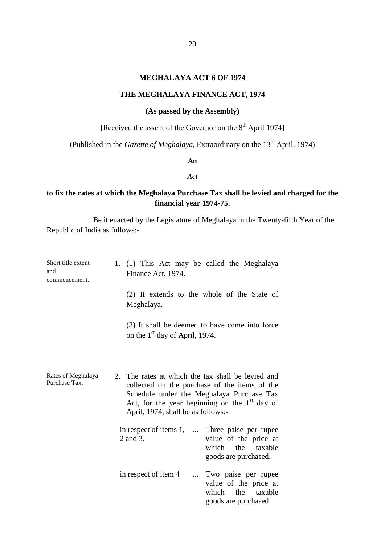### **MEGHALAYA ACT 6 OF 1974**

# **THE MEGHALAYA FINANCE ACT, 1974**

# **(As passed by the Assembly)**

**[**Received the assent of the Governor on the 8th April 1974**]** 

(Published in the *Gazette of Meghalaya*, Extraordinary on the 13<sup>th</sup> April, 1974)

### **An**

# *Act*

# **to fix the rates at which the Meghalaya Purchase Tax shall be levied and charged for the financial year 1974-75.**

| Short title extent<br>and<br>commencement. | 1. (1) This Act may be called the Meghalaya<br>Finance Act, 1974.                                                                                                                                                                        |                                                                                     |
|--------------------------------------------|------------------------------------------------------------------------------------------------------------------------------------------------------------------------------------------------------------------------------------------|-------------------------------------------------------------------------------------|
|                                            | (2) It extends to the whole of the State of<br>Meghalaya.                                                                                                                                                                                |                                                                                     |
|                                            | (3) It shall be deemed to have come into force<br>on the 1 <sup>st</sup> day of April, 1974.                                                                                                                                             |                                                                                     |
| Rates of Meghalaya<br>Purchase Tax.        | 2. The rates at which the tax shall be levied and<br>collected on the purchase of the items of the<br>Schedule under the Meghalaya Purchase Tax<br>Act, for the year beginning on the $1st$ day of<br>April, 1974, shall be as follows:- |                                                                                     |
|                                            | in respect of items 1,  Three paise per rupee<br>2 and 3.<br>which                                                                                                                                                                       | value of the price at<br>the taxable<br>goods are purchased.                        |
|                                            | in respect of item 4<br>which                                                                                                                                                                                                            | Two paise per rupee<br>value of the price at<br>the taxable<br>goods are purchased. |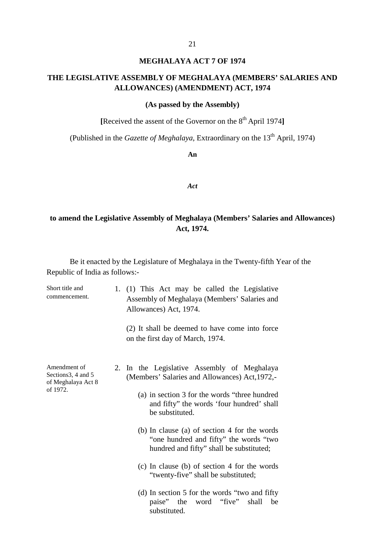### **MEGHALAYA ACT 7 OF 1974**

# <span id="page-22-0"></span>**THE LEGISLATIVE ASSEMBLY OF MEGHALAYA (MEMBERS' SALARIES AND ALLOWANCES) (AMENDMENT) ACT, 1974**

# **(As passed by the Assembly)**

**[**Received the assent of the Governor on the 8th April 1974**]** 

(Published in the *Gazette of Meghalaya*, Extraordinary on the 13<sup>th</sup> April, 1974)

**An** 

### *Act*

# **to amend the Legislative Assembly of Meghalaya (Members' Salaries and Allowances) Act, 1974.**

| Short title and<br>commencement.                         |    | 1. (1) This Act may be called the Legislative<br>Assembly of Meghalaya (Members' Salaries and<br>Allowances) Act, 1974.            |
|----------------------------------------------------------|----|------------------------------------------------------------------------------------------------------------------------------------|
|                                                          |    | (2) It shall be deemed to have come into force<br>on the first day of March, 1974.                                                 |
| Amendment of<br>Sections3, 4 and 5<br>of Meghalaya Act 8 | 2. | In the Legislative Assembly of Meghalaya<br>(Members' Salaries and Allowances) Act, 1972,-                                         |
| of 1972.                                                 |    | (a) in section 3 for the words "three hundred"<br>and fifty" the words 'four hundred' shall<br>be substituted.                     |
|                                                          |    | (b) In clause (a) of section 4 for the words<br>"one hundred and fifty" the words "two<br>hundred and fifty" shall be substituted; |
|                                                          |    | (c) In clause (b) of section 4 for the words<br>"twenty-five" shall be substituted;                                                |
|                                                          |    | (d) In section 5 for the words "two and fifty"<br>word "five"<br>paise" the<br>shall<br>be<br>substituted.                         |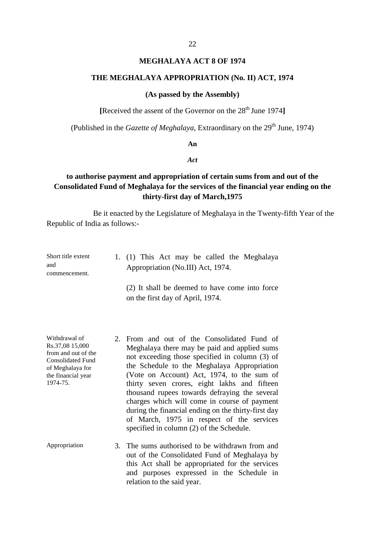### **MEGHALAYA ACT 8 OF 1974**

### <span id="page-23-0"></span>**THE MEGHALAYA APPROPRIATION (No. II) ACT, 1974**

#### **(As passed by the Assembly)**

[Received the assent of the Governor on the 28<sup>th</sup> June 1974]

(Published in the *Gazette of Meghalaya*, Extraordinary on the 29<sup>th</sup> June, 1974)

### **An**

### *Act*

# **to authorise payment and appropriation of certain sums from and out of the Consolidated Fund of Meghalaya for the services of the financial year ending on the thirty-first day of March,1975**

Be it enacted by the Legislature of Meghalaya in the Twenty-fifth Year of the Republic of India as follows:

| Short title extent | 1. (1) This Act may be called the Meghalaya    |
|--------------------|------------------------------------------------|
| and                | Appropriation (No.III) Act, 1974.              |
| commencement.      |                                                |
|                    | (2) It shall be deemed to have come into force |
|                    | on the first day of April, 1974.               |

the financial year

- Withdrawal of 2. From and out of the Consolidated Fund of Rs.37.08 15.000 Moghelove there may be neid and applied sums Rs.37,08 15,000 Meghalaya there may be paid and applied sums from and out of the not exceeding those specified in column (3) of Consolidated Fund of Meghalaya for the Schedule to the Meghalaya Appropriation (Vote on Account) Act, 1974, to the sum of 1974-75. thirty seven crores, eight lakhs and fifteen thousand rupees towards defraying the several charges which will come in course of payment during the financial ending on the thirty-first day of March, 1975 in respect of the services specified in column (2) of the Schedule.
- Appropriation 3. The sums authorised to be withdrawn from and out of the Consolidated Fund of Meghalaya by this Act shall be appropriated for the services and purposes expressed in the Schedule in relation to the said year.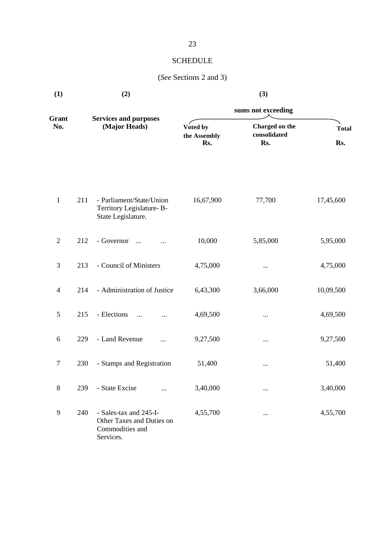# **SCHEDULE**

# (*See* Sections 2 and 3)

| (1)            | (2) |                                                                                     | (3)                             |                                       |                     |  |
|----------------|-----|-------------------------------------------------------------------------------------|---------------------------------|---------------------------------------|---------------------|--|
|                |     |                                                                                     | sums not exceeding              |                                       |                     |  |
| Grant<br>No.   |     | <b>Services and purposes</b><br>(Major Heads)                                       | Voted by<br>the Assembly<br>Rs. | Charged on the<br>consolidated<br>Rs. | <b>Total</b><br>Rs. |  |
|                |     |                                                                                     |                                 |                                       |                     |  |
| $\mathbf{1}$   | 211 | - Parliament/State/Union<br>Territory Legislature-B-<br>State Legislature.          | 16,67,900                       | 77,700                                | 17,45,600           |  |
| $\overline{c}$ | 212 | - Governor<br>$\dddotsc$                                                            | 10,000                          | 5,85,000                              | 5,95,000            |  |
| 3              | 213 | - Council of Ministers                                                              | 4,75,000                        | $\cdots$                              | 4,75,000            |  |
| 4              | 214 | - Administration of Justice                                                         | 6,43,300                        | 3,66,000                              | 10,09,500           |  |
| 5              | 215 | - Elections<br>$\cdots$<br>                                                         | 4,69,500                        | $\cdots$                              | 4,69,500            |  |
| 6              | 229 | - Land Revenue<br>.                                                                 | 9,27,500                        | $\cdots$                              | 9,27,500            |  |
| $\tau$         | 230 | - Stamps and Registration                                                           | 51,400                          | $\cdots$                              | 51,400              |  |
| $8\,$          | 239 | - State Excise<br>                                                                  | 3,40,000                        | $\cdots$                              | 3,40,000            |  |
| 9              | 240 | - Sales-tax and 245-I-<br>Other Taxes and Duties on<br>Commodities and<br>Services. | 4,55,700                        | $\cdots$                              | 4,55,700            |  |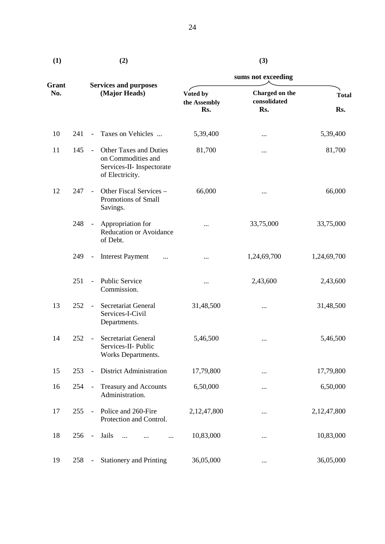| (1)          |     |                          | (2)                                                                                                 | (3)                             |                                       |                     |  |
|--------------|-----|--------------------------|-----------------------------------------------------------------------------------------------------|---------------------------------|---------------------------------------|---------------------|--|
|              |     |                          |                                                                                                     | sums not exceeding              |                                       |                     |  |
| Grant<br>No. |     |                          | <b>Services and purposes</b><br>(Major Heads)                                                       | Voted by<br>the Assembly<br>Rs. | Charged on the<br>consolidated<br>Rs. | <b>Total</b><br>Rs. |  |
| 10           | 241 | $\overline{\phantom{a}}$ | Taxes on Vehicles                                                                                   | 5,39,400                        |                                       | 5,39,400            |  |
| 11           | 145 | $\equiv$                 | <b>Other Taxes and Duties</b><br>on Commodities and<br>Services-II- Inspectorate<br>of Electricity. | 81,700                          |                                       | 81,700              |  |
| 12           | 247 | $\overline{\phantom{a}}$ | Other Fiscal Services -<br>Promotions of Small<br>Savings.                                          | 66,000                          |                                       | 66,000              |  |
|              | 248 | $\overline{\phantom{a}}$ | Appropriation for<br>Reducation or Avoidance<br>of Debt.                                            | .                               | 33,75,000                             | 33,75,000           |  |
|              | 249 | $\blacksquare$           | <b>Interest Payment</b>                                                                             |                                 | 1,24,69,700                           | 1,24,69,700         |  |
|              | 251 | $\overline{\phantom{a}}$ | Public Service<br>Commission.                                                                       |                                 | 2,43,600                              | 2,43,600            |  |
| 13           | 252 | $\overline{\phantom{a}}$ | <b>Secretariat General</b><br>Services-I-Civil<br>Departments.                                      | 31,48,500                       |                                       | 31,48,500           |  |
| 14           | 252 | $\overline{\phantom{a}}$ | Secretariat General<br>Services-II- Public<br>Works Departments.                                    | 5,46,500                        |                                       | 5,46,500            |  |
| 15           | 253 | $\overline{\phantom{a}}$ | <b>District Administration</b>                                                                      | 17,79,800                       |                                       | 17,79,800           |  |
| 16           | 254 | $\blacksquare$           | Treasury and Accounts<br>Administration.                                                            | 6,50,000                        |                                       | 6,50,000            |  |
| 17           | 255 | $\overline{\phantom{a}}$ | Police and 260-Fire<br>Protection and Control.                                                      | 2,12,47,800                     |                                       | 2,12,47,800         |  |
| 18           | 256 | $\overline{\phantom{a}}$ | Jails<br>$\dddotsc$<br>                                                                             | 10,83,000                       |                                       | 10,83,000           |  |
| 19           | 258 | $\blacksquare$           | <b>Stationery and Printing</b>                                                                      | 36,05,000                       |                                       | 36,05,000           |  |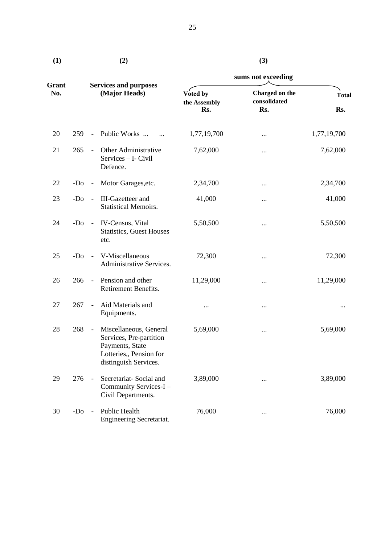| I<br>۰.<br>٠<br>× |  |
|-------------------|--|

| (1)          |       |                                               | (2)                                                                                                                      |                          | (3)                            |              |  |
|--------------|-------|-----------------------------------------------|--------------------------------------------------------------------------------------------------------------------------|--------------------------|--------------------------------|--------------|--|
|              |       |                                               |                                                                                                                          | sums not exceeding       |                                |              |  |
| Grant<br>No. |       | <b>Services and purposes</b><br>(Major Heads) |                                                                                                                          | Voted by<br>the Assembly | Charged on the<br>consolidated | <b>Total</b> |  |
|              |       |                                               |                                                                                                                          | Rs.                      | Rs.                            | Rs.          |  |
| 20           | 259   | $\overline{\phantom{a}}$                      | Public Works                                                                                                             | 1,77,19,700              |                                | 1,77,19,700  |  |
| 21           | 265   | $\equiv$                                      | Other Administrative<br>Services - I- Civil<br>Defence.                                                                  | 7,62,000                 |                                | 7,62,000     |  |
| 22           | -Do   | $\overline{\phantom{a}}$                      | Motor Garages, etc.                                                                                                      | 2,34,700                 |                                | 2,34,700     |  |
| 23           | $-DO$ | $\overline{\phantom{a}}$                      | <b>III-Gazetteer</b> and<br><b>Statistical Memoirs.</b>                                                                  | 41,000                   |                                | 41,000       |  |
| 24           | $-Do$ | $\sim$                                        | IV-Census, Vital<br><b>Statistics, Guest Houses</b><br>etc.                                                              | 5,50,500                 |                                | 5,50,500     |  |
| 25           | $-Do$ | $\sim$                                        | V-Miscellaneous<br>Administrative Services.                                                                              | 72,300                   |                                | 72,300       |  |
| 26           | 266   | $\equiv$                                      | Pension and other<br>Retirement Benefits.                                                                                | 11,29,000                |                                | 11,29,000    |  |
| 27           | 267   | $\overline{\phantom{a}}$                      | Aid Materials and<br>Equipments.                                                                                         | $\cdots$                 |                                |              |  |
| 28           | 268   | $\sim$                                        | Miscellaneous, General<br>Services, Pre-partition<br>Payments, State<br>Lotteries,, Pension for<br>distinguish Services. | 5,69,000                 |                                | 5,69,000     |  |
| 29           | 276   | $\frac{1}{2}$                                 | Secretariat-Social and<br>Community Services-I -<br>Civil Departments.                                                   | 3,89,000                 |                                | 3,89,000     |  |
| 30           | $-D0$ | $\blacksquare$                                | Public Health<br>Engineering Secretariat.                                                                                | 76,000                   |                                | 76,000       |  |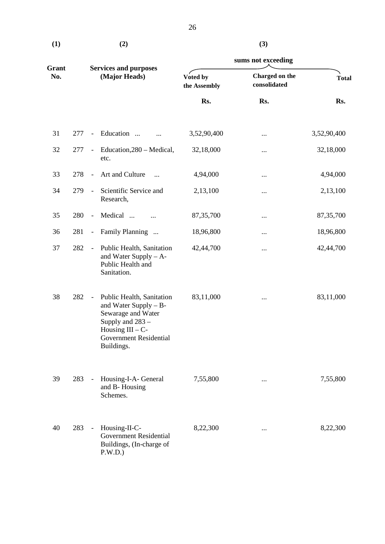| $\bf(1)$ | (2) | (3) |
|----------|-----|-----|
|          |     |     |

|              |               |                          |                                                                                                                                                                    |                          | sums not exceeding             |              |  |  |
|--------------|---------------|--------------------------|--------------------------------------------------------------------------------------------------------------------------------------------------------------------|--------------------------|--------------------------------|--------------|--|--|
| Grant<br>No. | (Major Heads) |                          | <b>Services and purposes</b>                                                                                                                                       | Voted by<br>the Assembly | Charged on the<br>consolidated | <b>Total</b> |  |  |
|              |               |                          |                                                                                                                                                                    | Rs.                      | Rs.                            | Rs.          |  |  |
| 31           | 277           | $\overline{\phantom{a}}$ | Education<br>                                                                                                                                                      | 3,52,90,400              |                                | 3,52,90,400  |  |  |
| 32           | 277           | $\blacksquare$           | Education, 280 - Medical,<br>etc.                                                                                                                                  | 32,18,000                |                                | 32,18,000    |  |  |
| 33           | 278           | $\overline{\phantom{a}}$ | Art and Culture<br>$\ddotsc$                                                                                                                                       | 4,94,000                 |                                | 4,94,000     |  |  |
| 34           | 279           | $\blacksquare$           | Scientific Service and<br>Research,                                                                                                                                | 2,13,100                 |                                | 2,13,100     |  |  |
| 35           | 280           | $\overline{\phantom{a}}$ | Medical<br>$\ddotsc$                                                                                                                                               | 87, 35, 700              |                                | 87, 35, 700  |  |  |
| 36           | 281           | $\overline{\phantom{a}}$ | Family Planning                                                                                                                                                    | 18,96,800                |                                | 18,96,800    |  |  |
| 37           | 282           | $\overline{\phantom{a}}$ | Public Health, Sanitation<br>and Water Supply $- A$ -<br>Public Health and<br>Sanitation.                                                                          | 42,44,700                |                                | 42,44,700    |  |  |
| 38           | 282           | $\overline{\phantom{a}}$ | Public Health, Sanitation<br>and Water Supply - B-<br>Sewarage and Water<br>Supply and 283 -<br>Housing $III - C$ -<br><b>Government Residential</b><br>Buildings. | 83,11,000                |                                | 83,11,000    |  |  |
| 39           | 283           | $\blacksquare$           | Housing-I-A- General<br>and B-Housing<br>Schemes.                                                                                                                  | 7,55,800                 | $\cdots$                       | 7,55,800     |  |  |
| 40           | 283           | $\overline{\phantom{a}}$ | Housing-II-C-<br><b>Government Residential</b><br>Buildings, (In-charge of<br>P.W.D.)                                                                              | 8,22,300                 | $\cdots$                       | 8,22,300     |  |  |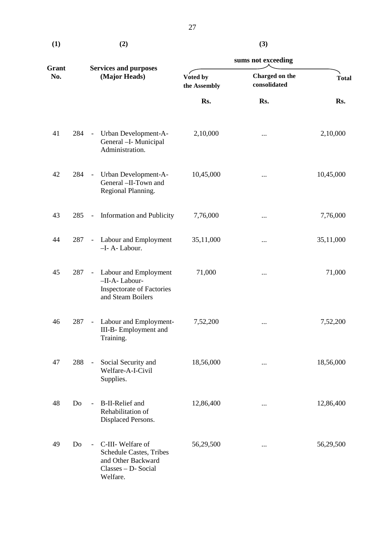|              |               |                          |                                                                                                              | sums not exceeding |                                |              |  |  |
|--------------|---------------|--------------------------|--------------------------------------------------------------------------------------------------------------|--------------------|--------------------------------|--------------|--|--|
| Grant<br>No. | (Major Heads) |                          | <b>Services and purposes</b><br>Voted by<br>the Assembly                                                     |                    | Charged on the<br>consolidated | <b>Total</b> |  |  |
|              |               |                          |                                                                                                              | Rs.                | Rs.                            | Rs.          |  |  |
| 41           | 284           | $\sim$                   | Urban Development-A-<br>General -I- Municipal<br>Administration.                                             | 2,10,000           |                                | 2,10,000     |  |  |
| 42           | 284           | $\sim$                   | Urban Development-A-<br>General -II-Town and<br>Regional Planning.                                           | 10,45,000          |                                | 10,45,000    |  |  |
| 43           | 285           | $\blacksquare$           | <b>Information and Publicity</b>                                                                             | 7,76,000           |                                | 7,76,000     |  |  |
| 44           | 287           | $\overline{\phantom{a}}$ | Labour and Employment<br>-I-A-Labour.                                                                        | 35,11,000          |                                | 35,11,000    |  |  |
| 45           | 287           | $\blacksquare$           | Labour and Employment<br>-II-A-Labour-<br><b>Inspectorate of Factories</b><br>and Steam Boilers              | 71,000             |                                | 71,000       |  |  |
| 46           | 287           | $\overline{\phantom{a}}$ | Labour and Employment-<br>III-B- Employment and<br>Training.                                                 | 7,52,200           |                                | 7,52,200     |  |  |
| 47           | 288           | $\overline{\phantom{a}}$ | Social Security and<br>Welfare-A-I-Civil<br>Supplies.                                                        | 18,56,000          |                                | 18,56,000    |  |  |
| 48           | Do            | $\blacksquare$           | <b>B-II-Relief</b> and<br>Rehabilitation of<br>Displaced Persons.                                            | 12,86,400          |                                | 12,86,400    |  |  |
| 49           | Do            |                          | C-III- Welfare of<br><b>Schedule Castes, Tribes</b><br>and Other Backward<br>Classes - D- Social<br>Welfare. | 56,29,500          |                                | 56,29,500    |  |  |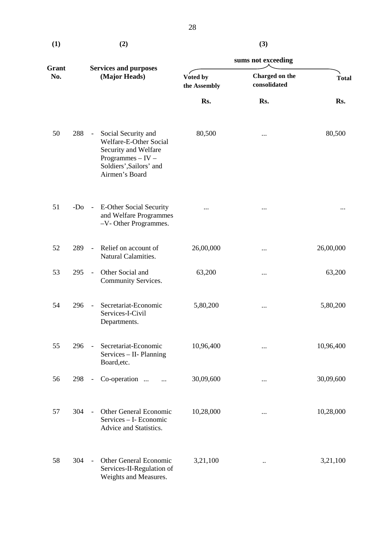**(1) (2)** 

|              |       |                          |                                                                                                                                             |                          | sums not exceeding             |              |  |
|--------------|-------|--------------------------|---------------------------------------------------------------------------------------------------------------------------------------------|--------------------------|--------------------------------|--------------|--|
| Grant<br>No. |       |                          | <b>Services and purposes</b><br>(Major Heads)                                                                                               | Voted by<br>the Assembly | Charged on the<br>consolidated | <b>Total</b> |  |
|              |       |                          |                                                                                                                                             | Rs.                      | Rs.                            | Rs.          |  |
| 50           | 288   | $\sim$ .                 | Social Security and<br>Welfare-E-Other Social<br>Security and Welfare<br>Programmes $-$ IV $-$<br>Soldiers', Sailors' and<br>Airmen's Board | 80,500                   |                                | 80,500       |  |
| 51           | $-Do$ |                          | - E-Other Social Security<br>and Welfare Programmes<br>-V- Other Programmes.                                                                | .                        |                                |              |  |
| 52           | 289   | $\overline{\phantom{a}}$ | Relief on account of<br>Natural Calamities.                                                                                                 | 26,00,000                | $\cdots$                       | 26,00,000    |  |
| 53           | 295   | $\sim$                   | Other Social and<br>Community Services.                                                                                                     | 63,200                   |                                | 63,200       |  |
| 54           | 296   | $\overline{\phantom{a}}$ | Secretariat-Economic<br>Services-I-Civil<br>Departments.                                                                                    | 5,80,200                 | $\cdots$                       | 5,80,200     |  |
| 55           | 296   | $\blacksquare$           | Secretariat-Economic<br>Services - II- Planning<br>Board, etc.                                                                              | 10,96,400                |                                | 10,96,400    |  |
| 56           | 298   | $ \,$                    | Co-operation                                                                                                                                | 30,09,600                | $\cdots$                       | 30,09,600    |  |
| 57           | 304   | $\Box$                   | Other General Economic<br>Services - I- Economic<br>Advice and Statistics.                                                                  | 10,28,000                | $\cdots$                       | 10,28,000    |  |
| 58           | 304   | $\overline{\phantom{a}}$ | Other General Economic<br>Services-II-Regulation of<br>Weights and Measures.                                                                | 3,21,100                 | $\ldots$                       | 3,21,100     |  |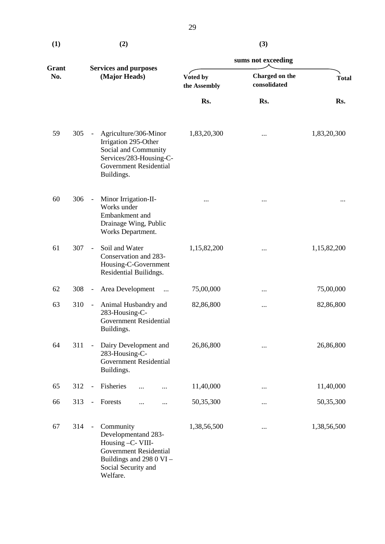**(3)** 

|              |                                               |                          |                                                                                                                                                       |                                                            | sums not exceeding |              |  |  |
|--------------|-----------------------------------------------|--------------------------|-------------------------------------------------------------------------------------------------------------------------------------------------------|------------------------------------------------------------|--------------------|--------------|--|--|
| Grant<br>No. | <b>Services and purposes</b><br>(Major Heads) |                          |                                                                                                                                                       | Charged on the<br>Voted by<br>consolidated<br>the Assembly |                    | <b>Total</b> |  |  |
|              |                                               |                          |                                                                                                                                                       | Rs.                                                        | Rs.                | Rs.          |  |  |
| 59           | 305                                           |                          | Agriculture/306-Minor<br>Irrigation 295-Other<br>Social and Community<br>Services/283-Housing-C-<br><b>Government Residential</b><br>Buildings.       | 1,83,20,300                                                |                    | 1,83,20,300  |  |  |
| 60           | 306                                           | $\overline{\phantom{a}}$ | Minor Irrigation-II-<br>Works under<br>Embankment and<br>Drainage Wing, Public<br>Works Department.                                                   |                                                            |                    |              |  |  |
| 61           | 307                                           | $\frac{1}{2}$            | Soil and Water<br>Conservation and 283-<br>Housing-C-Government<br>Residential Builidngs.                                                             | 1,15,82,200                                                |                    | 1,15,82,200  |  |  |
| 62           | 308                                           | $\blacksquare$           | Area Development<br>$\ddotsc$                                                                                                                         | 75,00,000                                                  |                    | 75,00,000    |  |  |
| 63           | 310                                           | $\overline{\phantom{a}}$ | Animal Husbandry and<br>283-Housing-C-<br><b>Government Residential</b><br>Buildings.                                                                 | 82,86,800                                                  |                    | 82,86,800    |  |  |
| 64           | 311                                           | $\overline{a}$           | Dairy Development and<br>283-Housing-C-<br><b>Government Residential</b><br>Buildings.                                                                | 26,86,800                                                  |                    | 26,86,800    |  |  |
| 65           | 312                                           | $\frac{1}{2}$            | Fisheries<br>$\cdots$<br>                                                                                                                             | 11,40,000                                                  | $\cdots$           | 11,40,000    |  |  |
| 66           | 313                                           | $\overline{\phantom{0}}$ | Forests<br><br>                                                                                                                                       | 50,35,300                                                  |                    | 50,35,300    |  |  |
| 67           | 314                                           | $\blacksquare$           | Community<br>Developmentand 283-<br>Housing -C- VIII-<br><b>Government Residential</b><br>Buildings and 298 0 VI -<br>Social Security and<br>Welfare. | 1,38,56,500                                                |                    | 1,38,56,500  |  |  |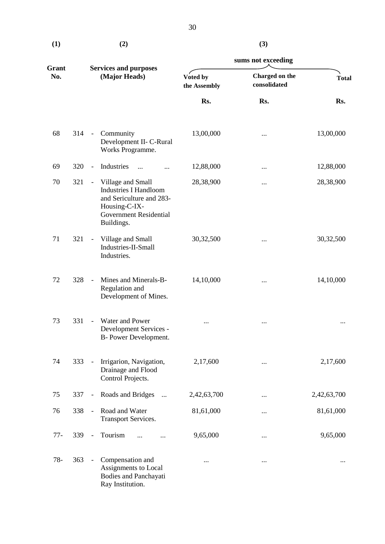|              |               |                          |                                                                                                                                               | sums not exceeding       |                                |              |  |  |
|--------------|---------------|--------------------------|-----------------------------------------------------------------------------------------------------------------------------------------------|--------------------------|--------------------------------|--------------|--|--|
| Grant<br>No. | (Major Heads) |                          | <b>Services and purposes</b>                                                                                                                  | Voted by<br>the Assembly | Charged on the<br>consolidated | <b>Total</b> |  |  |
|              |               |                          |                                                                                                                                               | Rs.                      | Rs.                            | Rs.          |  |  |
| 68           | 314           | $\frac{1}{2}$            | Community<br>Development II- C-Rural<br>Works Programme.                                                                                      | 13,00,000                |                                | 13,00,000    |  |  |
| 69           | 320           | $\overline{\phantom{a}}$ | Industries<br>$\dddotsc$<br>$\cdots$                                                                                                          | 12,88,000                | $\cdots$                       | 12,88,000    |  |  |
| 70           | 321           | $\overline{\phantom{a}}$ | Village and Small<br><b>Industries I Handloom</b><br>and Sericulture and 283-<br>Housing-C-IX-<br><b>Government Residential</b><br>Buildings. | 28,38,900                |                                | 28,38,900    |  |  |
| 71           | 321           | $\overline{\phantom{a}}$ | Village and Small<br>Industries-II-Small<br>Industries.                                                                                       | 30,32,500                |                                | 30,32,500    |  |  |
| 72           | 328           | $\Box$                   | Mines and Minerals-B-<br>Regulation and<br>Development of Mines.                                                                              | 14,10,000                | $\cdots$                       | 14,10,000    |  |  |
| 73           | 331           | $\blacksquare$           | Water and Power<br>Development Services -<br>B- Power Development.                                                                            |                          | $\cdots$                       |              |  |  |
| 74           | 333           | $\blacksquare$           | Irrigarion, Navigation,<br>Drainage and Flood<br>Control Projects.                                                                            | 2,17,600                 |                                | 2,17,600     |  |  |
| 75           | 337           | $\overline{\phantom{a}}$ | Roads and Bridges<br>$\cdots$                                                                                                                 | 2,42,63,700              | $\cdots$                       | 2,42,63,700  |  |  |
| 76           | 338           | $\blacksquare$           | Road and Water<br>Transport Services.                                                                                                         | 81,61,000                | $\cdots$                       | 81,61,000    |  |  |
| $77-$        | 339           | $\overline{\phantom{a}}$ | Tourism                                                                                                                                       | 9,65,000                 |                                | 9,65,000     |  |  |
| $78-$        | 363           | $\blacksquare$           | Compensation and<br>Assignments to Local<br>Bodies and Panchayati<br>Ray Institution.                                                         |                          |                                |              |  |  |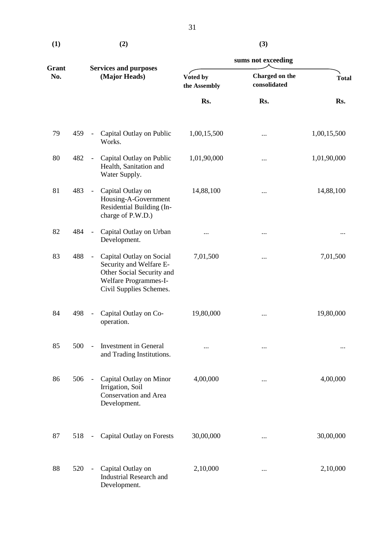| (1) | (2) |
|-----|-----|
|     |     |

# **(3)**

| Grant |     |                              |                                                                                                                                      |                                          | sums not exceeding |              |                                |              |  |
|-------|-----|------------------------------|--------------------------------------------------------------------------------------------------------------------------------------|------------------------------------------|--------------------|--------------|--------------------------------|--------------|--|
| No.   |     | (Major Heads)                |                                                                                                                                      | <b>Services and purposes</b><br>Voted by |                    | the Assembly | Charged on the<br>consolidated | <b>Total</b> |  |
|       |     |                              |                                                                                                                                      | Rs.                                      | Rs.                | Rs.          |                                |              |  |
| 79    | 459 | $\overline{\phantom{a}}$     | Capital Outlay on Public<br>Works.                                                                                                   | 1,00,15,500                              |                    | 1,00,15,500  |                                |              |  |
| 80    | 482 | $\overline{\phantom{a}}$     | Capital Outlay on Public<br>Health, Sanitation and<br>Water Supply.                                                                  | 1,01,90,000                              |                    | 1,01,90,000  |                                |              |  |
| 81    | 483 | $\overline{\phantom{a}}$     | Capital Outlay on<br>Housing-A-Government<br>Residential Building (In-<br>charge of P.W.D.)                                          | 14,88,100                                |                    | 14,88,100    |                                |              |  |
| 82    | 484 | $\frac{1}{2}$                | Capital Outlay on Urban<br>Development.                                                                                              |                                          |                    |              |                                |              |  |
| 83    | 488 | $\frac{1}{2}$                | Capital Outlay on Social<br>Security and Welfare E-<br>Other Social Security and<br>Welfare Programmes-I-<br>Civil Supplies Schemes. | 7,01,500                                 |                    | 7,01,500     |                                |              |  |
| 84    | 498 | $\qquad \qquad \blacksquare$ | Capital Outlay on Co-<br>operation.                                                                                                  | 19,80,000                                |                    | 19,80,000    |                                |              |  |
| 85    | 500 | $\overline{\phantom{a}}$     | Investment in General<br>and Trading Institutions.                                                                                   | $\cdots$                                 | $\cdots$           | $\cdots$     |                                |              |  |
| 86    | 506 | $\overline{\phantom{a}}$     | Capital Outlay on Minor<br>Irrigation, Soil<br>Conservation and Area<br>Development.                                                 | 4,00,000                                 |                    | 4,00,000     |                                |              |  |
| 87    | 518 | $\qquad \qquad -$            | <b>Capital Outlay on Forests</b>                                                                                                     | 30,00,000                                |                    | 30,00,000    |                                |              |  |
| 88    | 520 | $\blacksquare$               | Capital Outlay on<br><b>Industrial Research and</b><br>Development.                                                                  | 2,10,000                                 |                    | 2,10,000     |                                |              |  |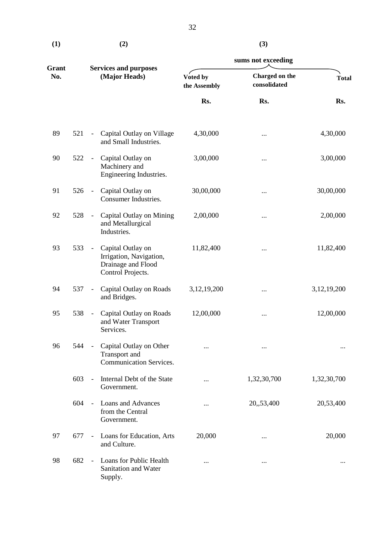| $\bf(1)$ | (2) | (3) |
|----------|-----|-----|
|          |     |     |

|              |     |                          |                                                                                         | sums not exceeding       |                                |                |  |
|--------------|-----|--------------------------|-----------------------------------------------------------------------------------------|--------------------------|--------------------------------|----------------|--|
| Grant<br>No. |     |                          | <b>Services and purposes</b><br>(Major Heads)                                           | Voted by<br>the Assembly | Charged on the<br>consolidated | <b>Total</b>   |  |
|              |     |                          |                                                                                         | Rs.                      | Rs.                            | Rs.            |  |
| 89           | 521 | $\overline{\phantom{a}}$ | Capital Outlay on Village<br>and Small Industries.                                      | 4,30,000                 |                                | 4,30,000       |  |
| 90           | 522 | $\blacksquare$           | Capital Outlay on<br>Machinery and<br>Engineering Industries.                           | 3,00,000                 |                                | 3,00,000       |  |
| 91           | 526 | $\overline{\phantom{a}}$ | Capital Outlay on<br>Consumer Industries.                                               | 30,00,000                |                                | 30,00,000      |  |
| 92           | 528 | $\frac{1}{2}$            | Capital Outlay on Mining<br>and Metallurgical<br>Industries.                            | 2,00,000                 |                                | 2,00,000       |  |
| 93           | 533 | $\overline{\phantom{a}}$ | Capital Outlay on<br>Irrigation, Navigation,<br>Drainage and Flood<br>Control Projects. | 11,82,400                |                                | 11,82,400      |  |
| 94           | 537 | $\overline{\phantom{a}}$ | Capital Outlay on Roads<br>and Bridges.                                                 | 3, 12, 19, 200           |                                | 3, 12, 19, 200 |  |
| 95           | 538 | $\overline{\phantom{a}}$ | Capital Outlay on Roads<br>and Water Transport<br>Services.                             | 12,00,000                |                                | 12,00,000      |  |
| 96           | 544 |                          | Capital Outlay on Other<br>Transport and<br><b>Communication Services.</b>              |                          |                                |                |  |
|              | 603 | $\overline{\phantom{a}}$ | Internal Debt of the State<br>Government.                                               |                          | 1,32,30,700                    | 1,32,30,700    |  |
|              | 604 | $\overline{\phantom{a}}$ | <b>Loans and Advances</b><br>from the Central<br>Government.                            |                          | 20,,53,400                     | 20,53,400      |  |
| 97           | 677 | $\overline{\phantom{a}}$ | Loans for Education, Arts<br>and Culture.                                               | 20,000                   |                                | 20,000         |  |
| 98           | 682 | $\overline{a}$           | Loans for Public Health<br>Sanitation and Water<br>Supply.                              |                          |                                |                |  |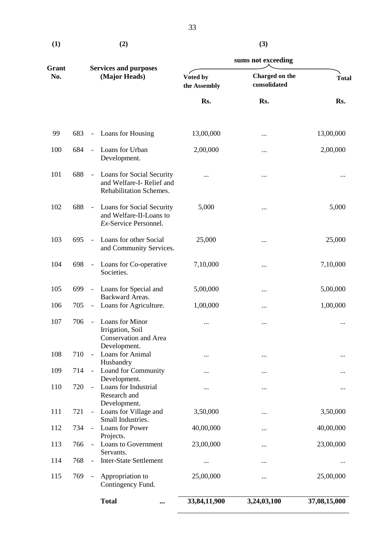<span id="page-34-0"></span>

| $\bf(1)$ | (2) | (3) |
|----------|-----|-----|
|          |     |     |

| M. |  |
|----|--|
|    |  |

|              |     |                              |                                                                                     | sums not exceeding       |                                |              |  |
|--------------|-----|------------------------------|-------------------------------------------------------------------------------------|--------------------------|--------------------------------|--------------|--|
| Grant<br>No. |     |                              | <b>Services and purposes</b><br>(Major Heads)                                       | Voted by<br>the Assembly | Charged on the<br>consolidated | <b>Total</b> |  |
|              |     |                              |                                                                                     | Rs.                      | Rs.                            | Rs.          |  |
| 99           | 683 | $\blacksquare$               | Loans for Housing                                                                   | 13,00,000                |                                | 13,00,000    |  |
| 100          | 684 | $\Box$                       | Loans for Urban<br>Development.                                                     | 2,00,000                 |                                | 2,00,000     |  |
| 101          | 688 | $\overline{\phantom{a}}$     | Loans for Social Security<br>and Welfare-I-Relief and<br>Rehabilitation Schemes.    | $\cdots$                 |                                |              |  |
| 102          | 688 | $\overline{\phantom{a}}$     | Loans for Social Security<br>and Welfare-II-Loans to<br>Ex-Service Personnel.       | 5,000                    |                                | 5,000        |  |
| 103          | 695 | $\overline{\phantom{a}}$     | Loans for other Social<br>and Community Services.                                   | 25,000                   |                                | 25,000       |  |
| 104          | 698 | $\overline{\phantom{a}}$     | Loans for Co-operative<br>Societies.                                                | 7,10,000                 |                                | 7,10,000     |  |
| 105          | 699 | $\blacksquare$               | Loans for Special and<br>Backward Areas.                                            | 5,00,000                 |                                | 5,00,000     |  |
| 106          | 705 | $\overline{\phantom{a}}$     | Loans for Agriculture.                                                              | 1,00,000                 |                                | 1,00,000     |  |
| 107          | 706 | $\overline{\phantom{a}}$     | Loans for Minor<br>Irrigation, Soil<br><b>Conservation and Area</b><br>Development. | $\cdots$                 |                                |              |  |
| 108          | 710 | $\overline{\phantom{0}}$     | Loans for Animal<br>Husbandry                                                       |                          |                                |              |  |
| 109          | 714 | $\overline{\phantom{a}}$     | Loand for Community<br>Development.                                                 |                          |                                |              |  |
| 110          | 720 | $\overline{\phantom{a}}$     | Loans for Industrial<br>Research and<br>Development.                                |                          |                                |              |  |
| 111          | 721 | $\blacksquare$               | Loans for Village and<br>Small Industries.                                          | 3,50,000                 |                                | 3,50,000     |  |
| 112          | 734 | $\overline{\phantom{0}}$     | Loans for Power<br>Projects.                                                        | 40,00,000                |                                | 40,00,000    |  |
| 113          | 766 | $\overline{a}$               | Loans to Government<br>Servants.                                                    | 23,00,000                |                                | 23,00,000    |  |
| 114          | 768 | $\qquad \qquad \blacksquare$ | <b>Inter-State Settlement</b>                                                       | $\cdots$                 |                                |              |  |
| 115          | 769 | $\overline{\phantom{0}}$     | Appropriation to<br>Contingency Fund.                                               | 25,00,000                |                                | 25,00,000    |  |
|              |     |                              | <b>Total</b><br>$\cdots$                                                            | 33,84,11,900             | 3,24,03,100                    | 37,08,15,000 |  |
|              |     |                              |                                                                                     |                          |                                |              |  |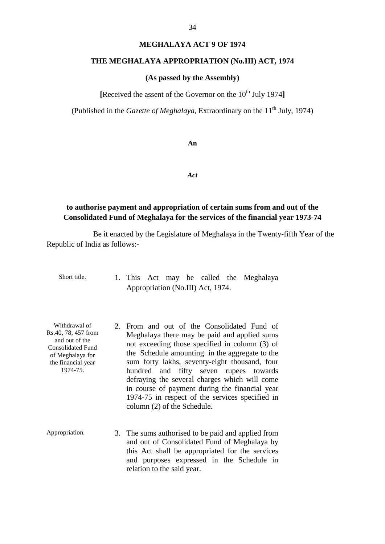# **MEGHALAYA ACT 9 OF 1974**

### <span id="page-35-0"></span> **THE MEGHALAYA APPROPRIATION (No.III) ACT, 1974**

### **(As passed by the Assembly)**

[Received the assent of the Governor on the 10<sup>th</sup> July 1974]

(Published in the *Gazette of Meghalaya*, Extraordinary on the  $11<sup>th</sup>$  July, 1974)

**An** 

*Act* 

# **to authorise payment and appropriation of certain sums from and out of the Consolidated Fund of Meghalaya for the services of the financial year 1973-74**

Be it enacted by the Legislature of Meghalaya in the Twenty-fifth Year of the Republic of India as follows:

 Appropriation (No.III) Act, 1974. Short title. 1. This Act may be called the Meghalaya

the financial year

- Rs.40, 78, 457 from Meghalaya there may be paid and applied sums and out of the not exceeding those specified in column (3) of Consolidated Fund in course of payment during the financial year Withdrawal of 2. From and out of the Consolidated Fund of Rs.40, 78, 457 from Mogheleve there may be paid and applied sums Consolidated Fund<br>of Meghalaya for the Schedule amounting in the aggregate to the sum forty lakhs, seventy-eight thousand, four 1974-75. hundred and fifty seven rupees towards defraying the several charges which will come 1974-75 in respect of the services specified in column (2) of the Schedule.
- Appropriation. 3. The sums authorised to be paid and applied from and out of Consolidated Fund of Meghalaya by this Act shall be appropriated for the services and purposes expressed in the Schedule in relation to the said year.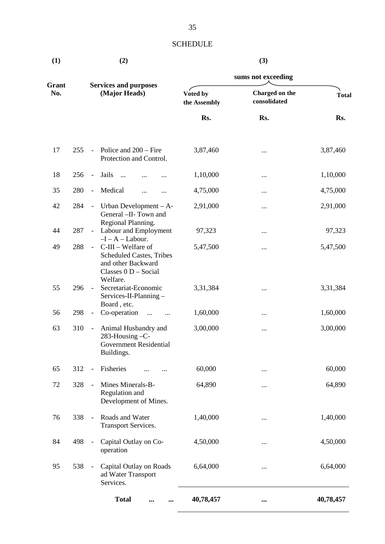# **SCHEDULE**

<span id="page-36-0"></span>

| (1)          |     |                              | (2)                                                                                                               | (3)<br>sums not exceeding |                                |              |  |
|--------------|-----|------------------------------|-------------------------------------------------------------------------------------------------------------------|---------------------------|--------------------------------|--------------|--|
|              |     |                              |                                                                                                                   |                           |                                |              |  |
| Grant<br>No. |     |                              | <b>Services and purposes</b><br>(Major Heads)                                                                     | Voted by<br>the Assembly  | Charged on the<br>consolidated | <b>Total</b> |  |
|              |     |                              |                                                                                                                   | Rs.                       | Rs.                            | Rs.          |  |
| 17           | 255 | $\overline{\phantom{a}}$     | Police and $200 -$ Fire<br>Protection and Control.                                                                | 3,87,460                  |                                | 3,87,460     |  |
| 18           | 256 | $\overline{\phantom{a}}$     | Jails<br>$\cdots$                                                                                                 | 1,10,000                  |                                | 1,10,000     |  |
| 35           | 280 | $\overline{\phantom{a}}$     | Medical<br>$\cdots$<br>$\cdots$                                                                                   | 4,75,000                  |                                | 4,75,000     |  |
| 42           | 284 | $\overline{\phantom{a}}$     | Urban Development $- A$ -<br>General -II- Town and<br>Regional Planning.                                          | 2,91,000                  |                                | 2,91,000     |  |
| 44           | 287 | $\mathbb{L}^+$               | Labour and Employment<br>$-I - A - Labour.$                                                                       | 97,323                    |                                | 97,323       |  |
| 49           | 288 | $\equiv$                     | C-III - Welfare of<br><b>Scheduled Castes, Tribes</b><br>and other Backward<br>Classes $0 D - Social$<br>Welfare. | 5,47,500                  |                                | 5,47,500     |  |
| 55           | 296 | $\blacksquare$               | Secretariat-Economic<br>Services-II-Planning-<br>Board, etc.                                                      | 3, 31, 384                |                                | 3, 31, 384   |  |
| 56           | 298 | $\overline{\phantom{a}}$     | Co-operation<br>$\cdots$<br>$\cdots$                                                                              | 1,60,000                  |                                | 1,60,000     |  |
| 63           | 310 | $\blacksquare$               | Animal Husbandry and<br>283-Housing -C-<br><b>Government Residential</b><br>Buildings.                            | 3,00,000                  |                                | 3,00,000     |  |
| 65           | 312 | $\overline{\phantom{0}}$     | Fisheries                                                                                                         | 60,000                    |                                | 60,000       |  |
| 72           | 328 | $\overline{\phantom{0}}$     | Mines Minerals-B-<br>Regulation and<br>Development of Mines.                                                      | 64,890                    |                                | 64,890       |  |
| 76           | 338 | $\frac{1}{2}$                | Roads and Water<br><b>Transport Services.</b>                                                                     | 1,40,000                  |                                | 1,40,000     |  |
| 84           | 498 | $\qquad \qquad \blacksquare$ | Capital Outlay on Co-<br>operation                                                                                | 4,50,000                  |                                | 4,50,000     |  |
| 95           | 538 | $\overline{\phantom{a}}$     | Capital Outlay on Roads<br>ad Water Transport<br>Services.                                                        | 6,64,000                  |                                | 6,64,000     |  |
|              |     |                              | <b>Total</b><br>$\cdots$<br>                                                                                      | 40,78,457                 | $\cdots$                       | 40,78,457    |  |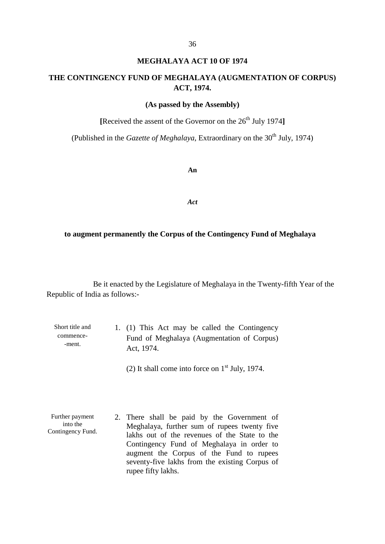# **MEGHALAYA ACT 10 OF 1974**

# **THE CONTINGENCY FUND OF MEGHALAYA (AUGMENTATION OF CORPUS) ACT, 1974.**

### **(As passed by the Assembly)**

[Received the assent of the Governor on the 26<sup>th</sup> July 1974]

(Published in the *Gazette of Meghalaya*, Extraordinary on the  $30<sup>th</sup>$  July, 1974)

**An** 

*Act* 

### **to augment permanently the Corpus of the Contingency Fund of Meghalaya**

Be it enacted by the Legislature of Meghalaya in the Twenty-fifth Year of the Republic of India as follows:

| Short title and | 1. (1) This Act may be called the Contingency |
|-----------------|-----------------------------------------------|
| commence-       | Fund of Meghalaya (Augmentation of Corpus)    |
| -ment.          | Act. 1974.                                    |

(2) It shall come into force on  $1<sup>st</sup>$  July, 1974.

 Meghalaya, further sum of rupees twenty five Contingency Fund of Meghalaya in order to Further payment into the Contingency Fund. 2. There shall be paid by the Government of lakhs out of the revenues of the State to the augment the Corpus of the Fund to rupees seventy-five lakhs from the existing Corpus of rupee fifty lakhs.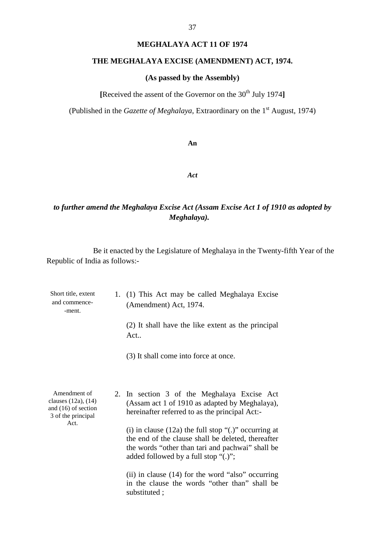### **MEGHALAYA ACT 11 OF 1974**

# <span id="page-38-0"></span>**THE MEGHALAYA EXCISE (AMENDMENT) ACT, 1974.**

# **(As passed by the Assembly)**

[Received the assent of the Governor on the 30<sup>th</sup> July 1974]

(Published in the *Gazette of Meghalaya*, Extraordinary on the 1<sup>st</sup> August, 1974)

**An** 

*Act* 

# *Meghalaya). to further amend the Meghalaya Excise Act (Assam Excise Act 1 of 1910 as adopted by*

| Short title, extent<br>and commence-<br>-ment.                                   | 1. (1) This Act may be called Meghalaya Excise<br>(Amendment) Act, 1974.                                                                                                                                         |  |  |
|----------------------------------------------------------------------------------|------------------------------------------------------------------------------------------------------------------------------------------------------------------------------------------------------------------|--|--|
|                                                                                  | (2) It shall have the like extent as the principal<br>Act                                                                                                                                                        |  |  |
|                                                                                  | (3) It shall come into force at once.                                                                                                                                                                            |  |  |
| Amendment of<br>clauses (12a), (14)<br>and (16) of section<br>3 of the principal | 2. In section 3 of the Meghalaya Excise Act<br>(Assam act 1 of 1910 as adapted by Meghalaya),<br>hereinafter referred to as the principal Act:-                                                                  |  |  |
| Act.                                                                             | (i) in clause $(12a)$ the full stop " $(.)$ " occurring at<br>the end of the clause shall be deleted, thereafter<br>the words "other than tari and pachwai" shall be<br>added followed by a full stop " $(.)$ "; |  |  |
|                                                                                  | (ii) in clause $(14)$ for the word "also" occurring<br>in the clause the words "other than" shall be<br>substituted;                                                                                             |  |  |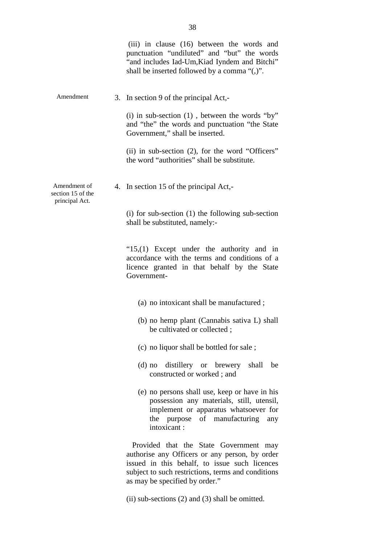|                                                     | (iii) in clause (16) between the words and<br>punctuation "undiluted" and "but" the words<br>"and includes Iad-Um, Kiad Iyndem and Bitchi"<br>shall be inserted followed by a comma "(,)".                                        |
|-----------------------------------------------------|-----------------------------------------------------------------------------------------------------------------------------------------------------------------------------------------------------------------------------------|
| Amendment                                           | 3. In section 9 of the principal Act,-                                                                                                                                                                                            |
|                                                     | (i) in sub-section $(1)$ , between the words "by"<br>and "the" the words and punctuation "the State<br>Government," shall be inserted.                                                                                            |
|                                                     | (ii) in sub-section (2), for the word "Officers"<br>the word "authorities" shall be substitute.                                                                                                                                   |
| Amendment of<br>section 15 of the<br>principal Act. | 4. In section 15 of the principal Act,-                                                                                                                                                                                           |
|                                                     | $(i)$ for sub-section $(1)$ the following sub-section<br>shall be substituted, namely:-                                                                                                                                           |
|                                                     | " $15,(1)$ Except under the authority and in<br>accordance with the terms and conditions of a<br>licence granted in that behalf by the State<br>Government-                                                                       |
|                                                     | (a) no intoxicant shall be manufactured;                                                                                                                                                                                          |
|                                                     | (b) no hemp plant (Cannabis sativa L) shall<br>be cultivated or collected;                                                                                                                                                        |
|                                                     | (c) no liquor shall be bottled for sale;                                                                                                                                                                                          |
|                                                     | (d) no distillery or brewery<br>shall<br>be<br>constructed or worked; and                                                                                                                                                         |
|                                                     | (e) no persons shall use, keep or have in his<br>possession any materials, still, utensil,<br>implement or apparatus whatsoever for<br>the purpose of manufacturing<br>any<br>intoxicant:                                         |
|                                                     | Provided that the State Government may<br>authorise any Officers or any person, by order<br>issued in this behalf, to issue such licences<br>subject to such restrictions, terms and conditions<br>as may be specified by order." |

(ii) sub-sections (2) and (3) shall be omitted.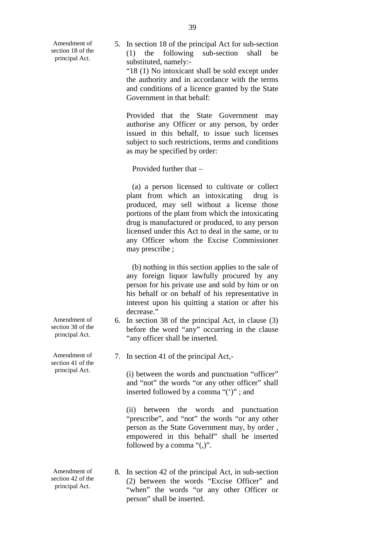Amendment of section 18 of the principal Act.

5. In section 18 of the principal Act for sub-section (1) the following sub-section shall be substituted, namely: "18 (1) No intoxicant shall be sold except under the authority and in accordance with the terms and conditions of a licence granted by the State Government in that behalf:

Provided that the State Government may authorise any Officer or any person, by order issued in this behalf, to issue such licenses subject to such restrictions, terms and conditions as may be specified by order:

Provided further that –

 may prescribe ; (a) a person licensed to cultivate or collect plant from which an intoxicating drug is produced, may sell without a license those portions of the plant from which the intoxicating drug is manufactured or produced, to any person licensed under this Act to deal in the same, or to any Officer whom the Excise Commissioner

(b) nothing in this section applies to the sale of any foreign liquor lawfully procured by any person for his private use and sold by him or on his behalf or on behalf of his representative in interest upon his quitting a station or after his decrease."

- 6. In section 38 of the principal Act, in clause (3) before the word "any" occurring in the clause "any officer shall be inserted.
- 7. In section 41 of the principal Act,-

 and "not" the words "or any other officer" shall (i) between the words and punctuation "officer" inserted followed by a comma "(')" ; and

(ii) between the words and punctuation "prescribe", and "not" the words "or any other person as the State Government may, by order , empowered in this behalf" shall be inserted followed by a comma "(,)".

 principal Act. "when" the words "or any other Officer or Amendment of 8. In section 42 of the principal Act, in sub-section section 42 of the  $(2)$  between the words "Evoise Officer" and ection 42 of the (2) between the words "Excise Officer" and principal Act. person" shall be inserted.

Amendment of section 38 of the principal Act.

Amendment of section 41 of the principal Act.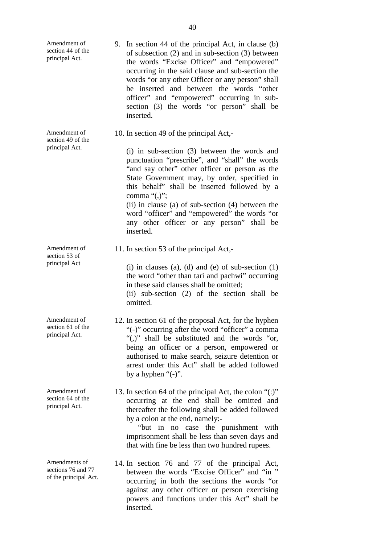<span id="page-41-0"></span>

| Amendment of<br>section 44 of the<br>principal Act.          | 9. In section 44 of the principal Act, in clause (b)<br>of subsection (2) and in sub-section (3) between<br>the words "Excise Officer" and "empowered"<br>occurring in the said clause and sub-section the<br>words "or any other Officer or any person" shall<br>be inserted and between the words "other<br>officer" and "empowered" occurring in sub-<br>section (3) the words "or person" shall be<br>inserted.                                                              |  |
|--------------------------------------------------------------|----------------------------------------------------------------------------------------------------------------------------------------------------------------------------------------------------------------------------------------------------------------------------------------------------------------------------------------------------------------------------------------------------------------------------------------------------------------------------------|--|
| Amendment of<br>section 49 of the<br>principal Act.          | 10. In section 49 of the principal Act,-<br>(i) in sub-section (3) between the words and<br>punctuation "prescribe", and "shall" the words<br>"and say other" other officer or person as the<br>State Government may, by order, specified in<br>this behalf" shall be inserted followed by a<br>comma " $($ ,";<br>$(ii)$ in clause (a) of sub-section (4) between the<br>word "officer" and "empowered" the words "or<br>any other officer or any person" shall be<br>inserted. |  |
| Amendment of<br>section 53 of<br>principal Act               | 11. In section 53 of the principal Act,-<br>(i) in clauses (a), (d) and (e) of sub-section $(1)$<br>the word "other than tari and pachwi" occurring<br>in these said clauses shall be omitted;<br>(ii) sub-section (2) of the section shall be<br>omitted.                                                                                                                                                                                                                       |  |
| Amendment of<br>section 61 of the<br>principal Act.          | 12. In section 61 of the proposal Act, for the hyphen<br>"(-)" occurring after the word "officer" a comma<br>"(,)" shall be substituted and the words "or,<br>being an officer or a person, empowered or<br>authorised to make search, seizure detention or<br>arrest under this Act" shall be added followed<br>by a hyphen " $(-)$ ".                                                                                                                                          |  |
| Amendment of<br>section 64 of the<br>principal Act.          | 13. In section 64 of the principal Act, the colon " $(:)$ "<br>occurring at the end shall be omitted and<br>thereafter the following shall be added followed<br>by a colon at the end, namely:-<br>"but in no case the punishment with<br>imprisonment shall be less than seven days and<br>that with fine be less than two hundred rupees.                                                                                                                                      |  |
| Amendments of<br>sections 76 and 77<br>of the principal Act. | 14. In section 76 and 77 of the principal Act,<br>between the words "Excise Officer" and "in"<br>occurring in both the sections the words "or<br>against any other officer or person exercising<br>powers and functions under this Act" shall be<br>inserted.                                                                                                                                                                                                                    |  |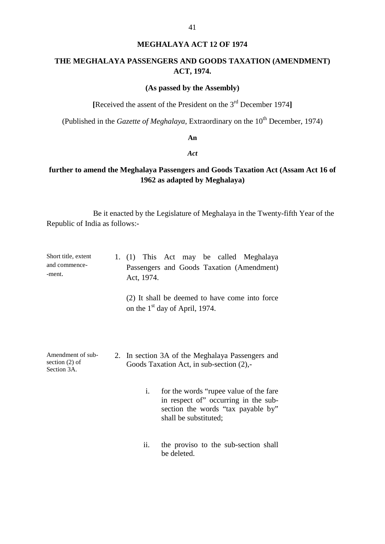### **MEGHALAYA ACT 12 OF 1974**

41

# <span id="page-42-0"></span>**THE MEGHALAYA PASSENGERS AND GOODS TAXATION (AMENDMENT) ACT, 1974.**

# **(As passed by the Assembly)**

**[**Received the assent of the President on the 3rd December 1974**]** 

(Published in the *Gazette of Meghalaya*, Extraordinary on the 10<sup>th</sup> December, 1974)

### **An**

#### *Act*

# **further to amend the Meghalaya Passengers and Goods Taxation Act (Assam Act 16 of 1962 as adapted by Meghalaya)**

Be it enacted by the Legislature of Meghalaya in the Twenty-fifth Year of the Republic of India as follows:

| Short title, extent<br>and commence-<br>-ment.       | Act, 1974. | 1. (1) This Act may be called Meghalaya<br>Passengers and Goods Taxation (Amendment)                                                           |
|------------------------------------------------------|------------|------------------------------------------------------------------------------------------------------------------------------------------------|
|                                                      |            | (2) It shall be deemed to have come into force<br>on the 1 <sup>st</sup> day of April, 1974.                                                   |
| Amendment of sub-<br>section $(2)$ of<br>Section 3A. |            | 2. In section 3A of the Meghalaya Passengers and<br>Goods Taxation Act, in sub-section (2),-                                                   |
|                                                      | i.         | for the words "rupee value of the fare"<br>in respect of" occurring in the sub-<br>section the words "tax payable by"<br>shall be substituted; |
|                                                      | ii.        | the proviso to the sub-section shall                                                                                                           |

be deleted.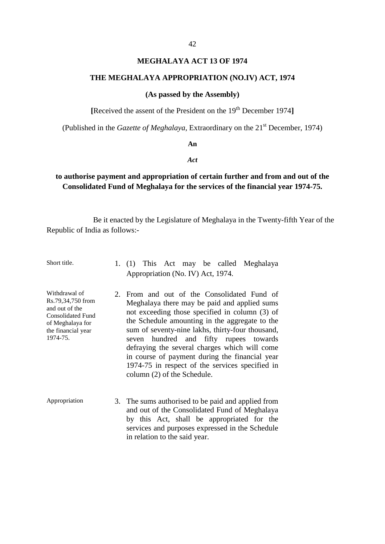# **MEGHALAYA ACT 13 OF 1974**

### <span id="page-43-0"></span>**THE MEGHALAYA APPROPRIATION (NO.IV) ACT, 1974**

#### **(As passed by the Assembly)**

[Received the assent of the President on the 19<sup>th</sup> December 1974]

(Published in the *Gazette of Meghalaya*, Extraordinary on the 21<sup>st</sup> December, 1974)

### **An**

#### *Act*

# **to authorise payment and appropriation of certain further and from and out of the Consolidated Fund of Meghalaya for the services of the financial year 1974-75.**

- Appropriation (No. IV) Act, 1974. Short title. 1. (1) This Act may be called Meghalaya
- the financial year Meghalaya there may be paid and applied sums defraying the several charges which will come in course of payment during the financial year Withdrawal of 2. From and out of the Consolidated Fund of Rs.79,34,750 from Meghalova there may be paid and applied sums and out of the consolidated Fund and the not exceeding those specified in column (3) of of Meghalaya for the Schedule amounting in the aggregate to the the Schedule amounting in the aggregate to the the financial year sum of seventy-nine lakhs, thirty-four thousand,<br>1974-75. seven hundred and fifty runes towards seven hundred and fifty rupees towards 1974-75 in respect of the services specified in column (2) of the Schedule.
- Appropriation 3. The sums authorised to be paid and applied from and out of the Consolidated Fund of Meghalaya by this Act, shall be appropriated for the services and purposes expressed in the Schedule in relation to the said year.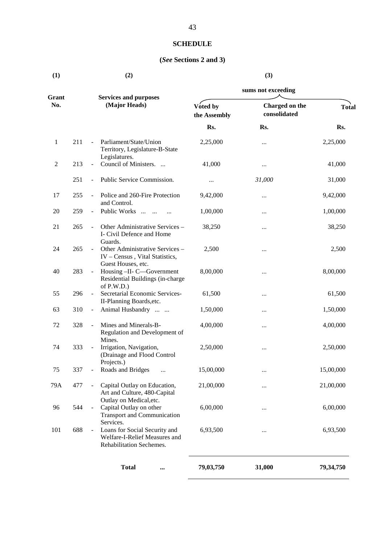# **SCHEDULE**

# **(***See* **Sections 2 and 3)**

<span id="page-44-0"></span>

| (1)            |     |                              | (2)                                                                                                     | (3)                      |                                |              |  |
|----------------|-----|------------------------------|---------------------------------------------------------------------------------------------------------|--------------------------|--------------------------------|--------------|--|
|                |     |                              |                                                                                                         | sums not exceeding       |                                |              |  |
| Grant<br>No.   |     |                              | <b>Services and purposes</b><br>(Major Heads)                                                           | Voted by<br>the Assembly | Charged on the<br>consolidated | <b>Total</b> |  |
|                |     |                              |                                                                                                         | Rs.                      | Rs.                            | Rs.          |  |
| 1              | 211 | $\mathbf{r}$                 | Parliament/State/Union<br>Territory, Legislature-B-State<br>Legislatures.                               | 2,25,000                 |                                | 2,25,000     |  |
| $\overline{c}$ | 213 | $\overline{\phantom{a}}$     | Council of Ministers.                                                                                   | 41,000                   |                                | 41,000       |  |
|                | 251 | $\overline{\phantom{a}}$     | Public Service Commission.                                                                              | $\cdots$                 | 31,000                         | 31,000       |  |
| 17             | 255 |                              | Police and 260-Fire Protection<br>and Control.                                                          | 9,42,000                 |                                | 9,42,000     |  |
| 20             | 259 | $\qquad \qquad \blacksquare$ | Public Works                                                                                            | 1,00,000                 |                                | 1,00,000     |  |
| 21             | 265 | $\overline{\phantom{a}}$     | Other Administrative Services -<br>I- Civil Defence and Home                                            | 38,250                   |                                | 38,250       |  |
| 24             | 265 |                              | Guards.<br>Other Administrative Services -<br>IV - Census, Vital Statistics,                            | 2,500                    |                                | 2,500        |  |
| 40             | 283 | $\overline{\phantom{a}}$     | Guest Houses, etc.<br>Housing -II- C-Government<br>Residential Buildings (in-charge                     | 8,00,000                 |                                | 8,00,000     |  |
| 55             | 296 | $\Box$                       | of P.W.D.)<br>Secretarial Economic Services-<br>II-Planning Boards, etc.                                | 61,500                   |                                | 61,500       |  |
| 63             | 310 | $\overline{\phantom{a}}$     | Animal Husbandry                                                                                        | 1,50,000                 |                                | 1,50,000     |  |
| 72             | 328 | $\overline{\phantom{a}}$     | Mines and Minerals-B-<br>Regulation and Development of<br>Mines.                                        | 4,00,000                 |                                | 4,00,000     |  |
| 74             | 333 | $\qquad \qquad \blacksquare$ | Irrigation, Navigation,<br>(Drainage and Flood Control<br>Projects.)                                    | 2,50,000                 |                                | 2,50,000     |  |
| 75             | 337 |                              | Roads and Bridges                                                                                       | 15,00,000                |                                | 15,00,000    |  |
| 79A            | 477 |                              | Capital Outlay on Education,<br>Art and Culture, 480-Capital                                            | 21,00,000                |                                | 21,00,000    |  |
| 96             | 544 |                              | Outlay on Medical, etc.<br>Capital Outlay on other<br><b>Transport and Communication</b>                | 6,00,000                 |                                | 6,00,000     |  |
| 101            | 688 | $\overline{\phantom{a}}$     | Services.<br>Loans for Social Security and<br>Welfare-I-Relief Measures and<br>Rehabilitation Sechemes. | 6,93,500                 |                                | 6,93,500     |  |
|                |     |                              | <b>Total</b><br>$\cdots$                                                                                | 79,03,750                | 31,000                         | 79,34,750    |  |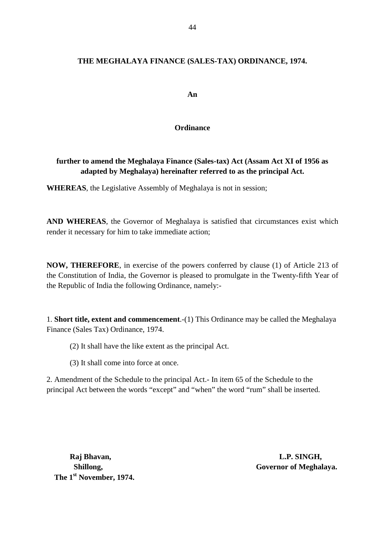# <span id="page-45-0"></span> **THE MEGHALAYA FINANCE (SALES-TAX) ORDINANCE, 1974.**

**An** 

# **Ordinance**

# **further to amend the Meghalaya Finance (Sales-tax) Act (Assam Act XI of 1956 as adapted by Meghalaya) hereinafter referred to as the principal Act.**

**WHEREAS**, the Legislative Assembly of Meghalaya is not in session;

**AND WHEREAS**, the Governor of Meghalaya is satisfied that circumstances exist which render it necessary for him to take immediate action;

 the Republic of India the following Ordinance, namely: **NOW, THEREFORE**, in exercise of the powers conferred by clause (1) of Article 213 of the Constitution of India, the Governor is pleased to promulgate in the Twenty-fifth Year of

1. **Short title, extent and commencement**.-(1) This Ordinance may be called the Meghalaya Finance (Sales Tax) Ordinance, 1974.

- (2) It shall have the like extent as the principal Act.
- (3) It shall come into force at once.

2. Amendment of the Schedule to the principal Act.- In item 65 of the Schedule to the principal Act between the words "except" and "when" the word "rum" shall be inserted.

**The 1st November, 1974.** 

 **Raj Bhavan, L.P. SINGH, Shillong,** Governor of Meghalaya.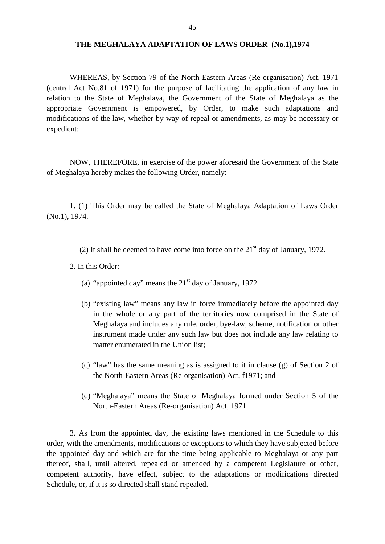### <span id="page-46-0"></span>**THE MEGHALAYA ADAPTATION OF LAWS ORDER (No.1),1974**

 WHEREAS, by Section 79 of the North-Eastern Areas (Re-organisation) Act, 1971 (central Act No.81 of 1971) for the purpose of facilitating the application of any law in relation to the State of Meghalaya, the Government of the State of Meghalaya as the appropriate Government is empowered, by Order, to make such adaptations and modifications of the law, whether by way of repeal or amendments, as may be necessary or expedient;

 NOW, THEREFORE, in exercise of the power aforesaid the Government of the State of Meghalaya hereby makes the following Order, namely:

 1. (1) This Order may be called the State of Meghalaya Adaptation of Laws Order (No.1), 1974.

(2) It shall be deemed to have come into force on the  $21<sup>st</sup>$  day of January, 1972.

2. In this Order:

- (a) "appointed day" means the  $21<sup>st</sup>$  day of January, 1972.
- (b) "existing law" means any law in force immediately before the appointed day in the whole or any part of the territories now comprised in the State of Meghalaya and includes any rule, order, bye-law, scheme, notification or other instrument made under any such law but does not include any law relating to matter enumerated in the Union list;
- (c) "law" has the same meaning as is assigned to it in clause (g) of Section 2 of the North-Eastern Areas (Re-organisation) Act, f1971; and
- (d) "Meghalaya" means the State of Meghalaya formed under Section 5 of the North-Eastern Areas (Re-organisation) Act, 1971.

 the appointed day and which are for the time being applicable to Meghalaya or any part 3. As from the appointed day, the existing laws mentioned in the Schedule to this order, with the amendments, modifications or exceptions to which they have subjected before thereof, shall, until altered, repealed or amended by a competent Legislature or other, competent authority, have effect, subject to the adaptations or modifications directed Schedule, or, if it is so directed shall stand repealed.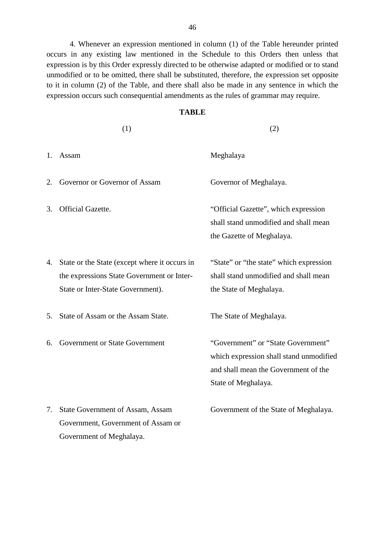4. Whenever an expression mentioned in column (1) of the Table hereunder printed occurs in any existing law mentioned in the Schedule to this Orders then unless that expression is by this Order expressly directed to be otherwise adapted or modified or to stand unmodified or to be omitted, there shall be substituted, therefore, the expression set opposite to it in column (2) of the Table, and there shall also be made in any sentence in which the expression occurs such consequential amendments as the rules of grammar may require.

# **TABLE**

|    | (1)                                                                                                                              | (2)                                                                                                                                          |
|----|----------------------------------------------------------------------------------------------------------------------------------|----------------------------------------------------------------------------------------------------------------------------------------------|
| 1. | Assam                                                                                                                            | Meghalaya                                                                                                                                    |
| 2. | Governor or Governor of Assam                                                                                                    | Governor of Meghalaya.                                                                                                                       |
| 3. | Official Gazette.                                                                                                                | "Official Gazette", which expression<br>shall stand unmodified and shall mean<br>the Gazette of Meghalaya.                                   |
| 4. | State or the State (except where it occurs in<br>the expressions State Government or Inter-<br>State or Inter-State Government). | "State" or "the state" which expression<br>shall stand unmodified and shall mean<br>the State of Meghalaya.                                  |
| 5. | State of Assam or the Assam State.                                                                                               | The State of Meghalaya.                                                                                                                      |
| 6. | Government or State Government                                                                                                   | "Government" or "State Government"<br>which expression shall stand unmodified<br>and shall mean the Government of the<br>State of Meghalaya. |
| 7. | State Government of Assam, Assam<br>Government, Government of Assam or<br>Government of Meghalaya.                               | Government of the State of Meghalaya.                                                                                                        |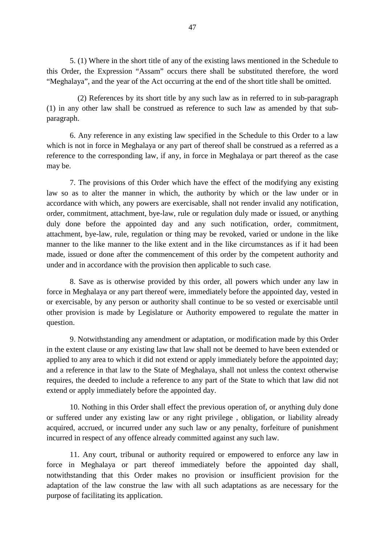5. (1) Where in the short title of any of the existing laws mentioned in the Schedule to this Order, the Expression "Assam" occurs there shall be substituted therefore, the word "Meghalaya", and the year of the Act occurring at the end of the short title shall be omitted.

(2) References by its short title by any such law as in referred to in sub-paragraph (1) in any other law shall be construed as reference to such law as amended by that subparagraph.

 reference to the corresponding law, if any, in force in Meghalaya or part thereof as the case 6. Any reference in any existing law specified in the Schedule to this Order to a law which is not in force in Meghalaya or any part of thereof shall be construed as a referred as a may be.

 accordance with which, any powers are exercisable, shall not render invalid any notification, made, issued or done after the commencement of this order by the competent authority and 7. The provisions of this Order which have the effect of the modifying any existing law so as to alter the manner in which, the authority by which or the law under or in order, commitment, attachment, bye-law, rule or regulation duly made or issued, or anything duly done before the appointed day and any such notification, order, commitment, attachment, bye-law, rule, regulation or thing may be revoked, varied or undone in the like manner to the like manner to the like extent and in the like circumstances as if it had been under and in accordance with the provision then applicable to such case.

 8. Save as is otherwise provided by this order, all powers which under any law in force in Meghalaya or any part thereof were, immediately before the appointed day, vested in or exercisable, by any person or authority shall continue to be so vested or exercisable until other provision is made by Legislature or Authority empowered to regulate the matter in question.

9. Notwithstanding any amendment or adaptation, or modification made by this Order in the extent clause or any existing law that law shall not be deemed to have been extended or applied to any area to which it did not extend or apply immediately before the appointed day; and a reference in that law to the State of Meghalaya, shall not unless the context otherwise requires, the deeded to include a reference to any part of the State to which that law did not extend or apply immediately before the appointed day.

 or suffered under any existing law or any right privilege , obligation, or liability already 10. Nothing in this Order shall effect the previous operation of, or anything duly done acquired, accrued, or incurred under any such law or any penalty, forfeiture of punishment incurred in respect of any offence already committed against any such law.

 11. Any court, tribunal or authority required or empowered to enforce any law in force in Meghalaya or part thereof immediately before the appointed day shall, purpose of facilitating its application. notwithstanding that this Order makes no provision or insufficient provision for the adaptation of the law construe the law with all such adaptations as are necessary for the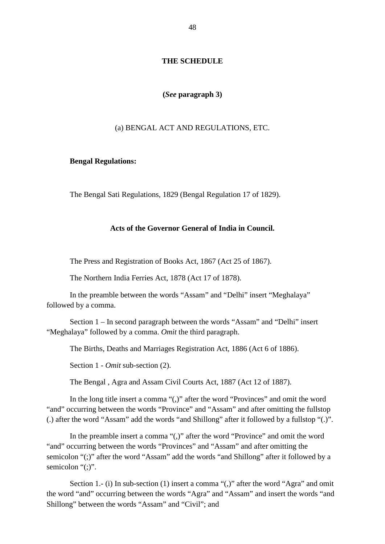# **THE SCHEDULE**

### **(***See* **paragraph 3)**

### (a) BENGAL ACT AND REGULATIONS, ETC.

### **Bengal Regulations:**

The Bengal Sati Regulations, 1829 (Bengal Regulation 17 of 1829).

### **Acts of the Governor General of India in Council.**

The Press and Registration of Books Act, 1867 (Act 25 of 1867).

The Northern India Ferries Act, 1878 (Act 17 of 1878).

In the preamble between the words "Assam" and "Delhi" insert "Meghalaya" followed by a comma.

Section 1 – In second paragraph between the words "Assam" and "Delhi" insert "Meghalaya" followed by a comma. *Omit* the third paragraph.

The Births, Deaths and Marriages Registration Act, 1886 (Act 6 of 1886).

Section 1 - *Omit* sub-section (2).

The Bengal , Agra and Assam Civil Courts Act, 1887 (Act 12 of 1887).

 (.) after the word "Assam" add the words "and Shillong" after it followed by a fullstop "(.)". In the long title insert a comma "(,)" after the word "Provinces" and omit the word "and" occurring between the words "Province" and "Assam" and after omitting the fullstop

In the preamble insert a comma "(,)" after the word "Province" and omit the word "and" occurring between the words "Provinces" and "Assam" and after omitting the semicolon "(;)" after the word "Assam" add the words "and Shillong" after it followed by a semicolon "(;)".

Section 1.- (i) In sub-section (1) insert a comma "(,)" after the word "Agra" and omit the word "and" occurring between the words "Agra" and "Assam" and insert the words "and Shillong" between the words "Assam" and "Civil"; and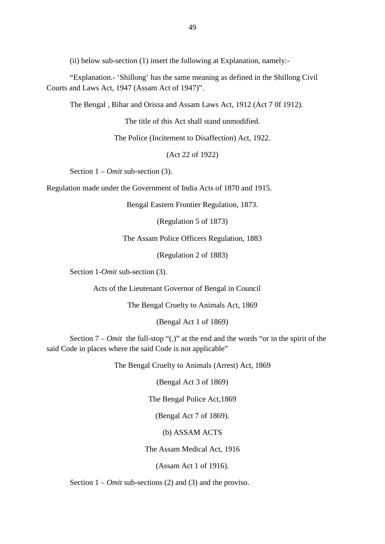(ii) below sub-section (1) insert the following at Explanation, namely:

 "Explanation.- 'Shillong' has the same meaning as defined in the Shillong Civil Courts and Laws Act, 1947 (Assam Act of 1947)".

The Bengal , Bihar and Orissa and Assam Laws Act, 1912 (Act 7 0f 1912).

The title of this Act shall stand unmodified.

The Police (Incitement to Disaffection) Act, 1922.

(Act 22 of 1922)

Section 1 – *Omit* sub-section (3).

Regulation made under the Government of India Acts of 1870 and 1915.

Bengal Eastern Frontier Regulation, 1873.

(Regulation 5 of 1873)

The Assam Police Officers Regulation, 1883

(Regulation 2 of 1883)

Section 1-*Omit* sub-section (3).

Acts of the Lieutenant Governor of Bengal in Council

The Bengal Cruelty to Animals Act, 1869

(Bengal Act 1 of 1869)

 Section 7 – *Omit* the full-stop "(.)" at the end and the words "or in the spirit of the said Code in places where the said Code is not applicable"

The Bengal Cruelty to Animals (Arrest) Act, 1869

(Bengal Act 3 of 1869)

The Bengal Police Act,1869

(Bengal Act 7 of 1869).

(b) ASSAM ACTS

The Assam Medical Act, 1916

(Assam Act 1 of 1916).

Section 1 – *Omit* sub-sections (2) and (3) and the proviso.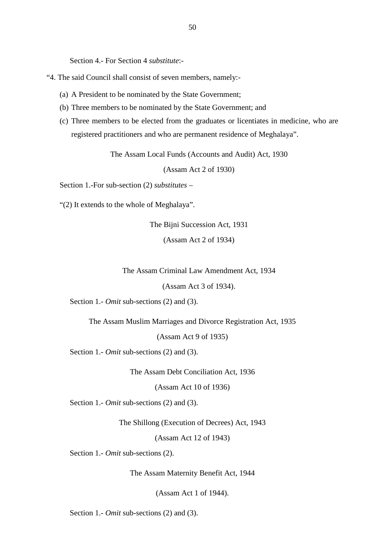Section 4.- For Section 4 *substitute*:

- "4. The said Council shall consist of seven members, namely:
	- (a) A President to be nominated by the State Government;
	- (b) Three members to be nominated by the State Government; and
	- (c) Three members to be elected from the graduates or licentiates in medicine, who are registered practitioners and who are permanent residence of Meghalaya".

The Assam Local Funds (Accounts and Audit) Act, 1930

(Assam Act 2 of 1930)

Section 1.-For sub-section (2) *substitutes* –

"(2) It extends to the whole of Meghalaya".

The Bijni Succession Act, 1931

(Assam Act 2 of 1934)

The Assam Criminal Law Amendment Act, 1934

(Assam Act 3 of 1934).

Section 1.- *Omit* sub-sections (2) and (3).

The Assam Muslim Marriages and Divorce Registration Act, 1935

(Assam Act 9 of 1935)

Section 1.- *Omit* sub-sections (2) and (3).

The Assam Debt Conciliation Act, 1936

(Assam Act 10 of 1936)

Section 1.- *Omit* sub-sections (2) and (3).

The Shillong (Execution of Decrees) Act, 1943

(Assam Act 12 of 1943)

Section 1.- *Omit* sub-sections (2).

The Assam Maternity Benefit Act, 1944

(Assam Act 1 of 1944).

Section 1.- *Omit* sub-sections (2) and (3).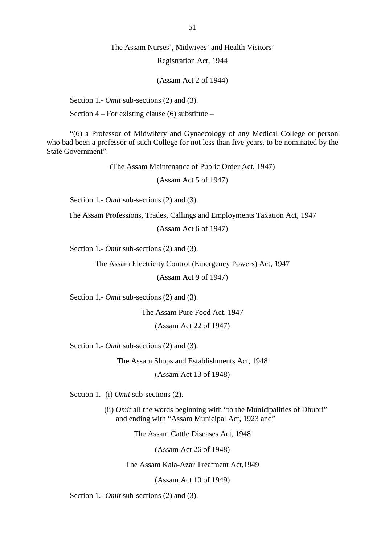### The Assam Nurses', Midwives' and Health Visitors'

Registration Act, 1944

(Assam Act 2 of 1944)

Section 1.- *Omit* sub-sections (2) and (3).

Section  $4$  – For existing clause (6) substitute –

 "(6) a Professor of Midwifery and Gynaecology of any Medical College or person who bad been a professor of such College for not less than five years, to be nominated by the State Government".

(The Assam Maintenance of Public Order Act, 1947)

(Assam Act 5 of 1947)

Section 1.- *Omit* sub-sections (2) and (3).

The Assam Professions, Trades, Callings and Employments Taxation Act, 1947

(Assam Act 6 of 1947)

Section 1.- *Omit* sub-sections (2) and (3).

The Assam Electricity Control (Emergency Powers) Act, 1947

(Assam Act 9 of 1947)

Section 1.- *Omit* sub-sections (2) and (3).

The Assam Pure Food Act, 1947

(Assam Act 22 of 1947)

Section 1.- *Omit* sub-sections (2) and (3).

The Assam Shops and Establishments Act, 1948 (Assam Act 13 of 1948)

Section 1.- (i) *Omit* sub-sections (2).

(ii) *Omit* all the words beginning with "to the Municipalities of Dhubri" and ending with "Assam Municipal Act, 1923 and"

The Assam Cattle Diseases Act, 1948

(Assam Act 26 of 1948)

The Assam Kala-Azar Treatment Act,1949

(Assam Act 10 of 1949)

Section 1.- *Omit* sub-sections (2) and (3).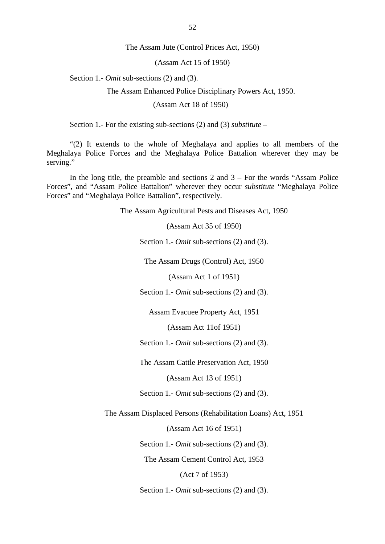The Assam Jute (Control Prices Act, 1950)

(Assam Act 15 of 1950)

Section 1.- *Omit* sub-sections (2) and (3).

The Assam Enhanced Police Disciplinary Powers Act, 1950.

(Assam Act 18 of 1950)

Section 1.- For the existing sub-sections (2) and (3) *substitute* –

"(2) It extends to the whole of Meghalaya and applies to all members of the Meghalaya Police Forces and the Meghalaya Police Battalion wherever they may be serving."

 Forces", and "Assam Police Battalion" wherever they occur *substitute* "Meghalaya Police In the long title, the preamble and sections  $2$  and  $3 -$  For the words "Assam Police" Forces" and "Meghalaya Police Battalion", respectively.

The Assam Agricultural Pests and Diseases Act, 1950

(Assam Act 35 of 1950)

Section 1.- *Omit* sub-sections (2) and (3).

The Assam Drugs (Control) Act, 1950

(Assam Act 1 of 1951)

Section 1.- *Omit* sub-sections (2) and (3).

Assam Evacuee Property Act, 1951

(Assam Act 11of 1951)

Section 1.- *Omit* sub-sections (2) and (3).

The Assam Cattle Preservation Act, 1950

(Assam Act 13 of 1951)

Section 1.- *Omit* sub-sections (2) and (3).

The Assam Displaced Persons (Rehabilitation Loans) Act, 1951

(Assam Act 16 of 1951)

Section 1.- *Omit* sub-sections (2) and (3).

The Assam Cement Control Act, 1953

(Act 7 of 1953)

Section 1.- *Omit* sub-sections (2) and (3).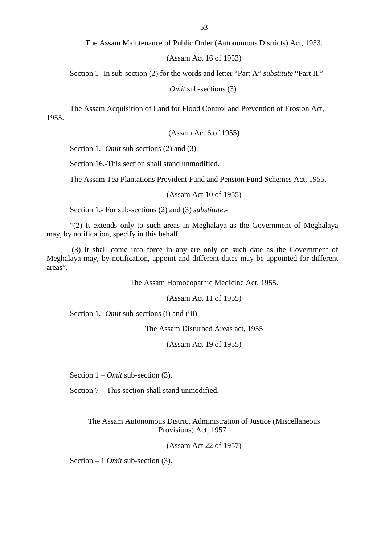The Assam Maintenance of Public Order (Autonomous Districts) Act, 1953.

(Assam Act 16 of 1953)

Section 1- In sub-section (2) for the words and letter "Part A" *substitute* "Part II."

*Omit* sub-sections (3).

 The Assam Acquisition of Land for Flood Control and Prevention of Erosion Act, 1955.

(Assam Act 6 of 1955)

Section 1.- *Omit* sub-sections (2) and (3).

Section 16.-This section shall stand unmodified.

The Assam Tea Plantations Provident Fund and Pension Fund Schemes Act, 1955.

(Assam Act 10 of 1955)

Section 1.- For sub-sections (2) and (3) *substitute*.

 "(2) It extends only to such areas in Meghalaya as the Government of Meghalaya may, by notification, specify in this behalf.

(3) It shall come into force in any are only on such date as the Government of Meghalaya may, by notification, appoint and different dates may be appointed for different areas".

The Assam Homoeopathic Medicine Act, 1955.

(Assam Act 11 of 1955)

Section 1.- *Omit* sub-sections (i) and (iii).

The Assam Disturbed Areas act, 1955

(Assam Act 19 of 1955)

Section 1 – *Omit* sub-section (3).

Section 7 – This section shall stand unmodified.

The Assam Autonomous District Administration of Justice (Miscellaneous Provisions) Act, 1957

(Assam Act 22 of 1957)

Section – 1 *Omit* sub-section (3).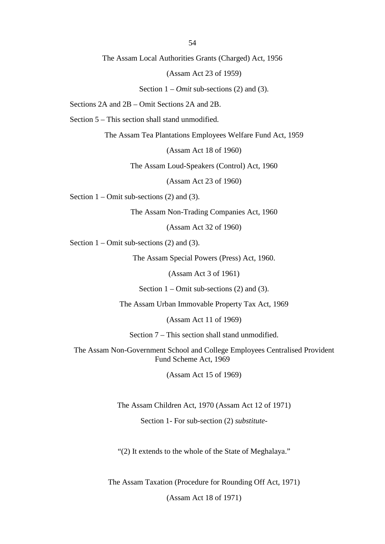54

The Assam Local Authorities Grants (Charged) Act, 1956

(Assam Act 23 of 1959)

Section 1 – *Omit* sub-sections (2) and (3).

Sections 2A and 2B – Omit Sections 2A and 2B.

Section 5 – This section shall stand unmodified.

The Assam Tea Plantations Employees Welfare Fund Act, 1959

(Assam Act 18 of 1960)

The Assam Loud-Speakers (Control) Act, 1960

(Assam Act 23 of 1960)

Section  $1 -$ Omit sub-sections (2) and (3).

The Assam Non-Trading Companies Act, 1960

(Assam Act 32 of 1960)

Section  $1$  – Omit sub-sections (2) and (3).

The Assam Special Powers (Press) Act, 1960.

(Assam Act 3 of 1961)

Section  $1 -$ Omit sub-sections (2) and (3).

The Assam Urban Immovable Property Tax Act, 1969

(Assam Act 11 of 1969)

Section 7 – This section shall stand unmodified.

The Assam Non-Government School and College Employees Centralised Provident Fund Scheme Act, 1969

(Assam Act 15 of 1969)

The Assam Children Act, 1970 (Assam Act 12 of 1971)

Section 1- For sub-section (2) *substitute*

"(2) It extends to the whole of the State of Meghalaya."

The Assam Taxation (Procedure for Rounding Off Act, 1971)

(Assam Act 18 of 1971)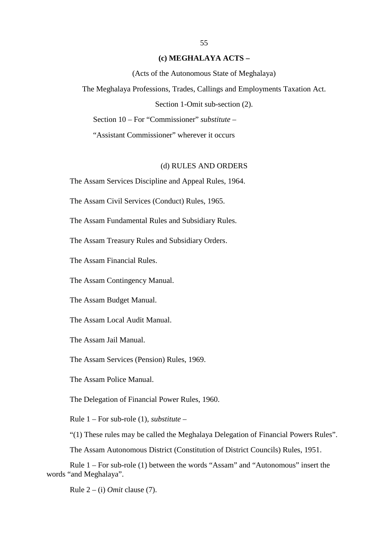### **(c) MEGHALAYA ACTS –**

(Acts of the Autonomous State of Meghalaya)

The Meghalaya Professions, Trades, Callings and Employments Taxation Act.

Section 1-Omit sub-section (2).

Section 10 – For "Commissioner" *substitute* –

"Assistant Commissioner" wherever it occurs

### (d) RULES AND ORDERS

The Assam Services Discipline and Appeal Rules, 1964.

The Assam Civil Services (Conduct) Rules, 1965.

The Assam Fundamental Rules and Subsidiary Rules.

The Assam Treasury Rules and Subsidiary Orders.

The Assam Financial Rules.

The Assam Contingency Manual.

The Assam Budget Manual.

The Assam Local Audit Manual.

The Assam Jail Manual.

The Assam Services (Pension) Rules, 1969.

The Assam Police Manual.

The Delegation of Financial Power Rules, 1960.

Rule 1 – For sub-role (1), *substitute* –

"(1) These rules may be called the Meghalaya Delegation of Financial Powers Rules".

The Assam Autonomous District (Constitution of District Councils) Rules, 1951.

 Rule 1 – For sub-role (1) between the words "Assam" and "Autonomous" insert the words "and Meghalaya".

Rule 2 – (i) *Omit* clause (7).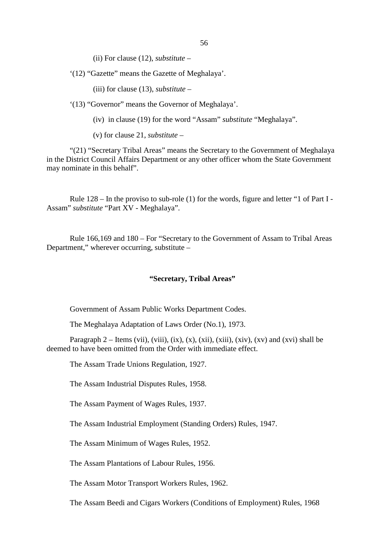(ii) For clause (12), *substitute* –

'(12) "Gazette" means the Gazette of Meghalaya'.

(iii) for clause (13), *substitute* –

'(13) "Governor" means the Governor of Meghalaya'.

(iv) in clause (19) for the word "Assam" *substitute* "Meghalaya".

(v) for clause 21, *substitute* –

"(21) "Secretary Tribal Areas" means the Secretary to the Government of Meghalaya in the District Council Affairs Department or any other officer whom the State Government may nominate in this behalf".

 Rule 128 – In the proviso to sub-role (1) for the words, figure and letter "1 of Part I - Assam" *substitute* "Part XV - Meghalaya".

Rule 166,169 and 180 – For "Secretary to the Government of Assam to Tribal Areas Department," wherever occurring, substitute –

### **"Secretary, Tribal Areas"**

Government of Assam Public Works Department Codes.

The Meghalaya Adaptation of Laws Order (No.1), 1973.

Paragraph 2 – Items (vii), (viii), (ix), (x), (xii), (xiii), (xiv), (xv) and (xvi) shall be deemed to have been omitted from the Order with immediate effect.

The Assam Trade Unions Regulation, 1927.

The Assam Industrial Disputes Rules, 1958.

The Assam Payment of Wages Rules, 1937.

The Assam Industrial Employment (Standing Orders) Rules, 1947.

The Assam Minimum of Wages Rules, 1952.

The Assam Plantations of Labour Rules, 1956.

The Assam Motor Transport Workers Rules, 1962.

The Assam Beedi and Cigars Workers (Conditions of Employment) Rules, 1968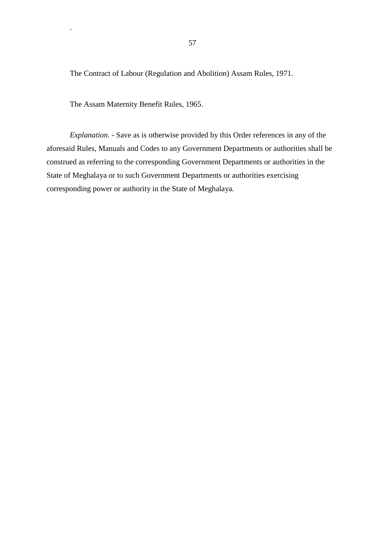The Contract of Labour (Regulation and Abolition) Assam Rules, 1971.

The Assam Maternity Benefit Rules, 1965.

.

 *Explanation*. - Save as is otherwise provided by this Order references in any of the corresponding power or authority in the State of Meghalaya. aforesaid Rules, Manuals and Codes to any Government Departments or authorities shall be construed as referring to the corresponding Government Departments or authorities in the State of Meghalaya or to such Government Departments or authorities exercising